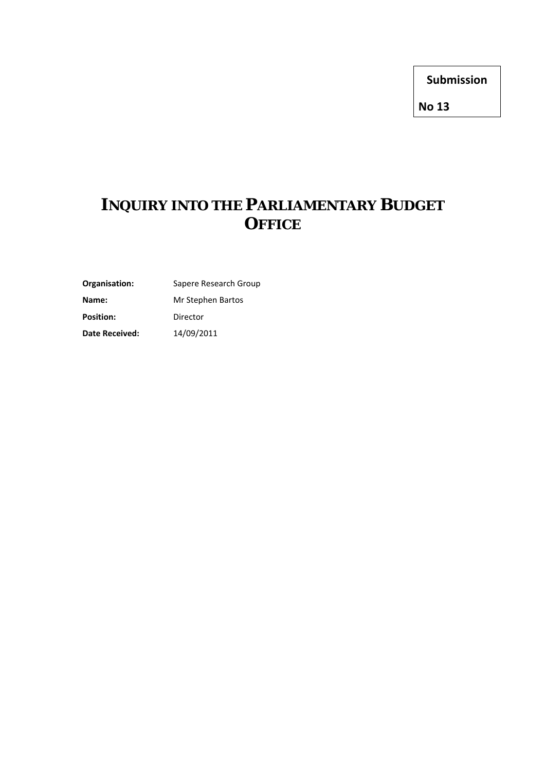**Submission**

**No 13**

# **INQUIRY INTO THE PARLIAMENTARY BUDGET OFFICE**

**Organisation:** Sapere Research Group

**Name:** Mr Stephen Bartos

Position: Director

**Date Received:** 14/09/2011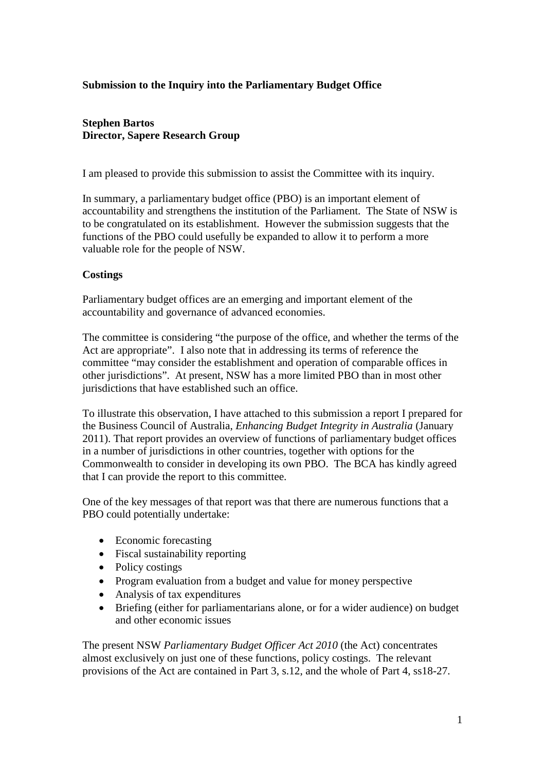#### **Submission to the Inquiry into the Parliamentary Budget Office**

#### **Stephen Bartos Director, Sapere Research Group**

I am pleased to provide this submission to assist the Committee with its inquiry.

In summary, a parliamentary budget office (PBO) is an important element of accountability and strengthens the institution of the Parliament. The State of NSW is to be congratulated on its establishment. However the submission suggests that the functions of the PBO could usefully be expanded to allow it to perform a more valuable role for the people of NSW.

#### **Costings**

Parliamentary budget offices are an emerging and important element of the accountability and governance of advanced economies.

The committee is considering "the purpose of the office, and whether the terms of the Act are appropriate". I also note that in addressing its terms of reference the committee "may consider the establishment and operation of comparable offices in other jurisdictions". At present, NSW has a more limited PBO than in most other jurisdictions that have established such an office.

To illustrate this observation, I have attached to this submission a report I prepared for the Business Council of Australia, *Enhancing Budget Integrity in Australia* (January 2011). That report provides an overview of functions of parliamentary budget offices in a number of jurisdictions in other countries, together with options for the Commonwealth to consider in developing its own PBO. The BCA has kindly agreed that I can provide the report to this committee.

One of the key messages of that report was that there are numerous functions that a PBO could potentially undertake:

- Economic forecasting
- Fiscal sustainability reporting
- Policy costings
- Program evaluation from a budget and value for money perspective
- Analysis of tax expenditures
- Briefing (either for parliamentarians alone, or for a wider audience) on budget and other economic issues

The present NSW *Parliamentary Budget Officer Act 2010* (the Act) concentrates almost exclusively on just one of these functions, policy costings. The relevant provisions of the Act are contained in Part 3, s.12, and the whole of Part 4, ss18-27.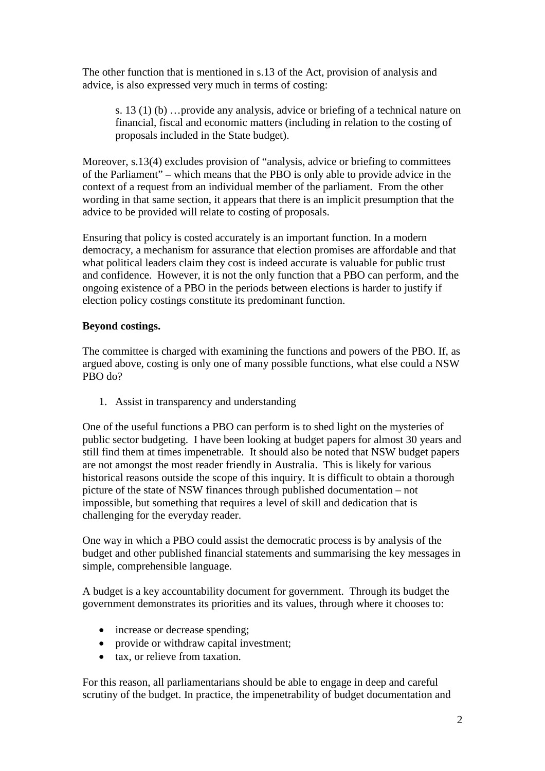The other function that is mentioned in s.13 of the Act, provision of analysis and advice, is also expressed very much in terms of costing:

s. 13 (1) (b) …provide any analysis, advice or briefing of a technical nature on financial, fiscal and economic matters (including in relation to the costing of proposals included in the State budget).

Moreover, s.13(4) excludes provision of "analysis, advice or briefing to committees of the Parliament" – which means that the PBO is only able to provide advice in the context of a request from an individual member of the parliament. From the other wording in that same section, it appears that there is an implicit presumption that the advice to be provided will relate to costing of proposals.

Ensuring that policy is costed accurately is an important function. In a modern democracy, a mechanism for assurance that election promises are affordable and that what political leaders claim they cost is indeed accurate is valuable for public trust and confidence. However, it is not the only function that a PBO can perform, and the ongoing existence of a PBO in the periods between elections is harder to justify if election policy costings constitute its predominant function.

#### **Beyond costings.**

The committee is charged with examining the functions and powers of the PBO. If, as argued above, costing is only one of many possible functions, what else could a NSW PBO do?

1. Assist in transparency and understanding

One of the useful functions a PBO can perform is to shed light on the mysteries of public sector budgeting. I have been looking at budget papers for almost 30 years and still find them at times impenetrable. It should also be noted that NSW budget papers are not amongst the most reader friendly in Australia. This is likely for various historical reasons outside the scope of this inquiry. It is difficult to obtain a thorough picture of the state of NSW finances through published documentation – not impossible, but something that requires a level of skill and dedication that is challenging for the everyday reader.

One way in which a PBO could assist the democratic process is by analysis of the budget and other published financial statements and summarising the key messages in simple, comprehensible language.

A budget is a key accountability document for government. Through its budget the government demonstrates its priorities and its values, through where it chooses to:

- increase or decrease spending;
- provide or withdraw capital investment;
- tax, or relieve from taxation.

For this reason, all parliamentarians should be able to engage in deep and careful scrutiny of the budget. In practice, the impenetrability of budget documentation and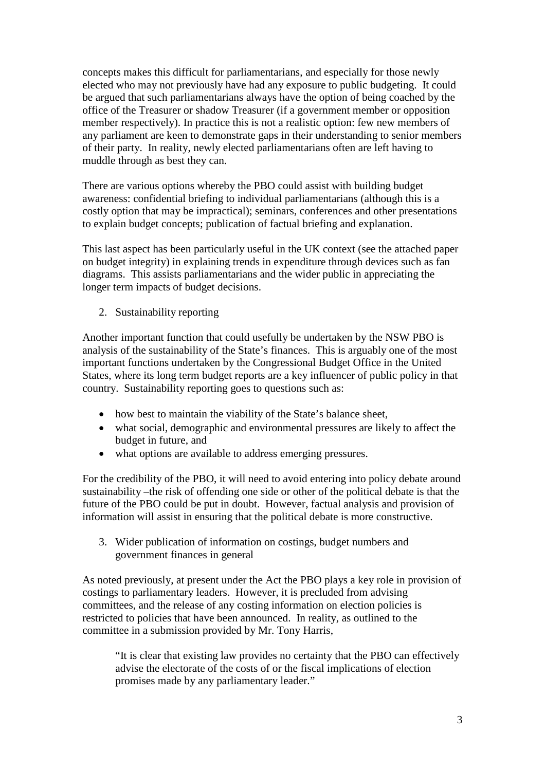concepts makes this difficult for parliamentarians, and especially for those newly elected who may not previously have had any exposure to public budgeting. It could be argued that such parliamentarians always have the option of being coached by the office of the Treasurer or shadow Treasurer (if a government member or opposition member respectively). In practice this is not a realistic option: few new members of any parliament are keen to demonstrate gaps in their understanding to senior members of their party. In reality, newly elected parliamentarians often are left having to muddle through as best they can.

There are various options whereby the PBO could assist with building budget awareness: confidential briefing to individual parliamentarians (although this is a costly option that may be impractical); seminars, conferences and other presentations to explain budget concepts; publication of factual briefing and explanation.

This last aspect has been particularly useful in the UK context (see the attached paper on budget integrity) in explaining trends in expenditure through devices such as fan diagrams. This assists parliamentarians and the wider public in appreciating the longer term impacts of budget decisions.

2. Sustainability reporting

Another important function that could usefully be undertaken by the NSW PBO is analysis of the sustainability of the State's finances. This is arguably one of the most important functions undertaken by the Congressional Budget Office in the United States, where its long term budget reports are a key influencer of public policy in that country. Sustainability reporting goes to questions such as:

- how best to maintain the viability of the State's balance sheet,
- what social, demographic and environmental pressures are likely to affect the budget in future, and
- what options are available to address emerging pressures.

For the credibility of the PBO, it will need to avoid entering into policy debate around sustainability –the risk of offending one side or other of the political debate is that the future of the PBO could be put in doubt. However, factual analysis and provision of information will assist in ensuring that the political debate is more constructive.

3. Wider publication of information on costings, budget numbers and government finances in general

As noted previously, at present under the Act the PBO plays a key role in provision of costings to parliamentary leaders. However, it is precluded from advising committees, and the release of any costing information on election policies is restricted to policies that have been announced. In reality, as outlined to the committee in a submission provided by Mr. Tony Harris,

"It is clear that existing law provides no certainty that the PBO can effectively advise the electorate of the costs of or the fiscal implications of election promises made by any parliamentary leader."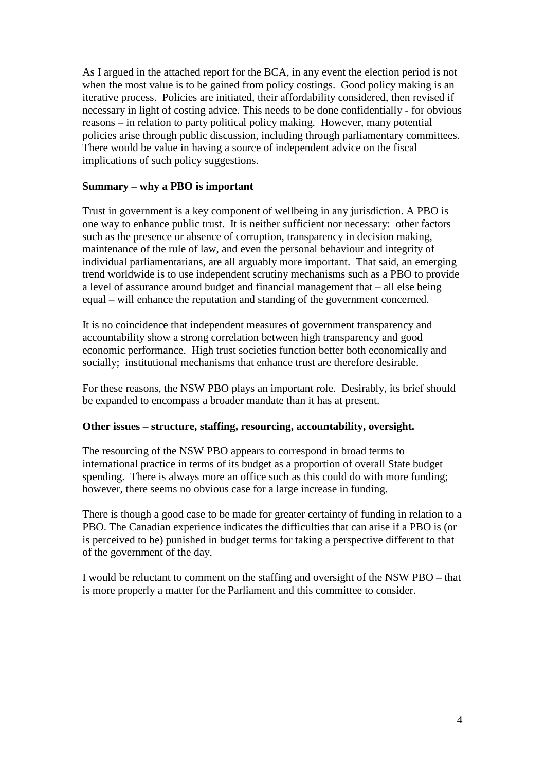As I argued in the attached report for the BCA, in any event the election period is not when the most value is to be gained from policy costings. Good policy making is an iterative process. Policies are initiated, their affordability considered, then revised if necessary in light of costing advice. This needs to be done confidentially - for obvious reasons – in relation to party political policy making. However, many potential policies arise through public discussion, including through parliamentary committees. There would be value in having a source of independent advice on the fiscal implications of such policy suggestions.

#### **Summary – why a PBO is important**

Trust in government is a key component of wellbeing in any jurisdiction. A PBO is one way to enhance public trust. It is neither sufficient nor necessary: other factors such as the presence or absence of corruption, transparency in decision making, maintenance of the rule of law, and even the personal behaviour and integrity of individual parliamentarians, are all arguably more important. That said, an emerging trend worldwide is to use independent scrutiny mechanisms such as a PBO to provide a level of assurance around budget and financial management that – all else being equal – will enhance the reputation and standing of the government concerned.

It is no coincidence that independent measures of government transparency and accountability show a strong correlation between high transparency and good economic performance. High trust societies function better both economically and socially; institutional mechanisms that enhance trust are therefore desirable.

For these reasons, the NSW PBO plays an important role. Desirably, its brief should be expanded to encompass a broader mandate than it has at present.

#### **Other issues – structure, staffing, resourcing, accountability, oversight.**

The resourcing of the NSW PBO appears to correspond in broad terms to international practice in terms of its budget as a proportion of overall State budget spending. There is always more an office such as this could do with more funding; however, there seems no obvious case for a large increase in funding.

There is though a good case to be made for greater certainty of funding in relation to a PBO. The Canadian experience indicates the difficulties that can arise if a PBO is (or is perceived to be) punished in budget terms for taking a perspective different to that of the government of the day.

I would be reluctant to comment on the staffing and oversight of the NSW PBO – that is more properly a matter for the Parliament and this committee to consider.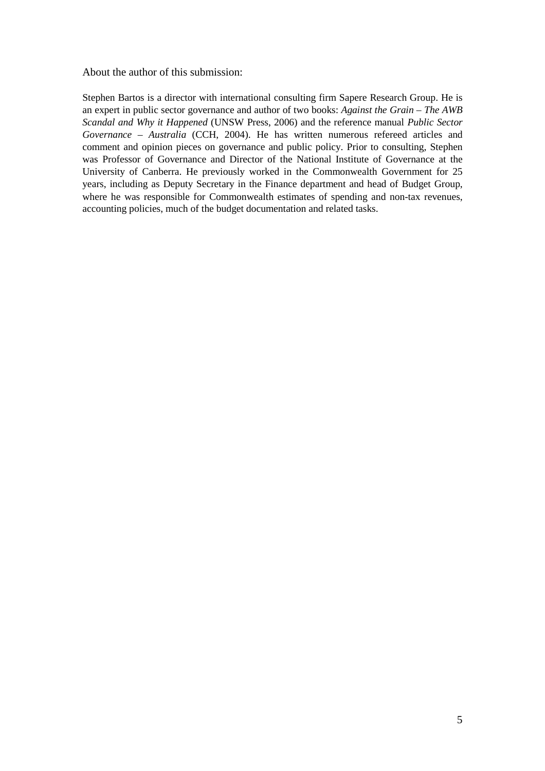About the author of this submission:

Stephen Bartos is a director with international consulting firm Sapere Research Group. He is an expert in public sector governance and author of two books: *Against the Grain – The AWB Scandal and Why it Happened* (UNSW Press, 2006) and the reference manual *Public Sector Governance – Australia* (CCH, 2004). He has written numerous refereed articles and comment and opinion pieces on governance and public policy. Prior to consulting, Stephen was Professor of Governance and Director of the National Institute of Governance at the University of Canberra. He previously worked in the Commonwealth Government for 25 years, including as Deputy Secretary in the Finance department and head of Budget Group, where he was responsible for Commonwealth estimates of spending and non-tax revenues, accounting policies, much of the budget documentation and related tasks.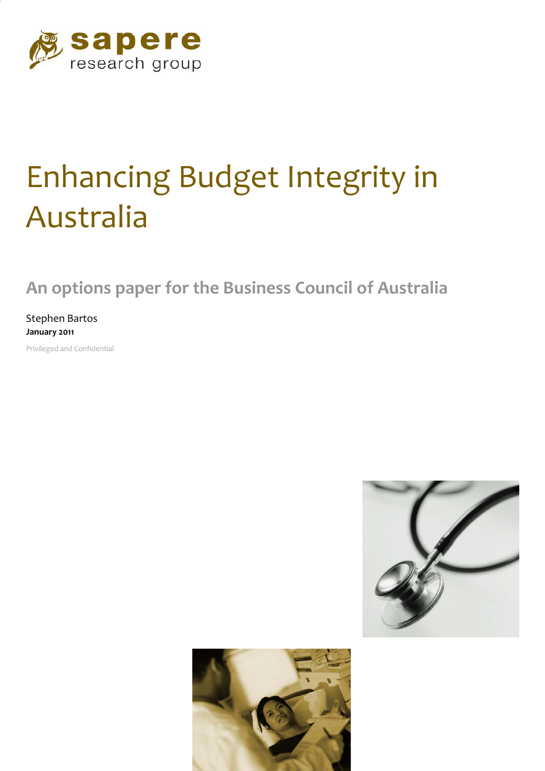

# Enhancing Budget Integrity in Australia

**An options paper for the Business Council of Australia** 

Stephen Bartos **January 2011** 

Privileged and Confidential



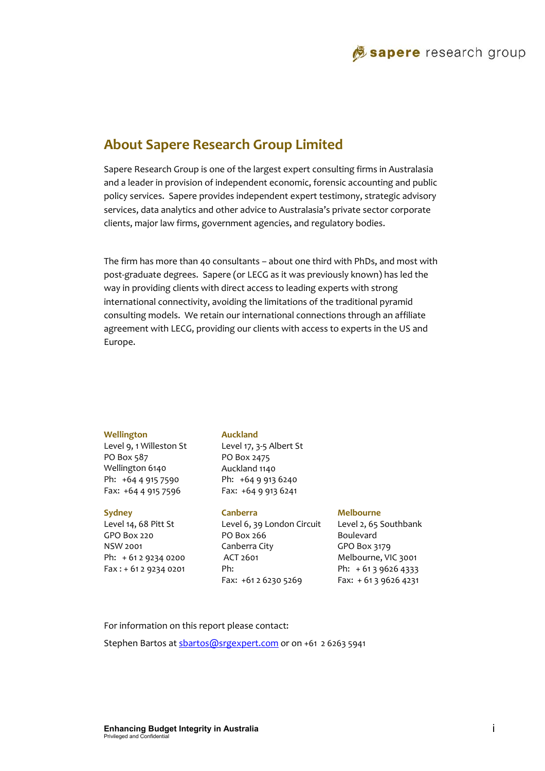# **About Sapere Research Group Limited**

Sapere Research Group is one of the largest expert consulting firms in Australasia and a leader in provision of independent economic, forensic accounting and public policy services. Sapere provides independent expert testimony, strategic advisory services, data analytics and other advice to Australasia's private sector corporate clients, major law firms, government agencies, and regulatory bodies.

The firm has more than 40 consultants – about one third with PhDs, and most with post‐graduate degrees. Sapere (or LECG as it was previously known) has led the way in providing clients with direct access to leading experts with strong international connectivity, avoiding the limitations of the traditional pyramid consulting models. We retain our international connections through an affiliate agreement with LECG, providing our clients with access to experts in the US and Europe.

#### **Wellington**

Level 9, 1 Willeston St PO Box 587 Wellington 6140 Ph: +64 4 915 7590 Fax: +64 4 915 7596

#### **Sydney**

Level 14, 68 Pitt St GPO Box 220 NSW 2001 Ph: + 61 2 9234 0200 Fax : + 61 2 9234 0201

#### **Auckland**

Level 17, 3‐5 Albert St PO Box 2475 Auckland 1140 Ph: +64 9 913 6240 Fax: +64 9 913 6241

#### **Canberra**

Level 6, 39 London Circuit PO Box 266 Canberra City ACT 2601 Ph: Fax: +61 2 6230 5269

#### **Melbourne**

Level 2, 65 Southbank Boulevard GPO Box 3179 Melbourne, VIC 3001 Ph: + 61 3 9626 4333 Fax: + 61 3 9626 4231

For information on this report please contact: Stephen Bartos at sbartos@srgexpert.com or on +61 2 6263 5941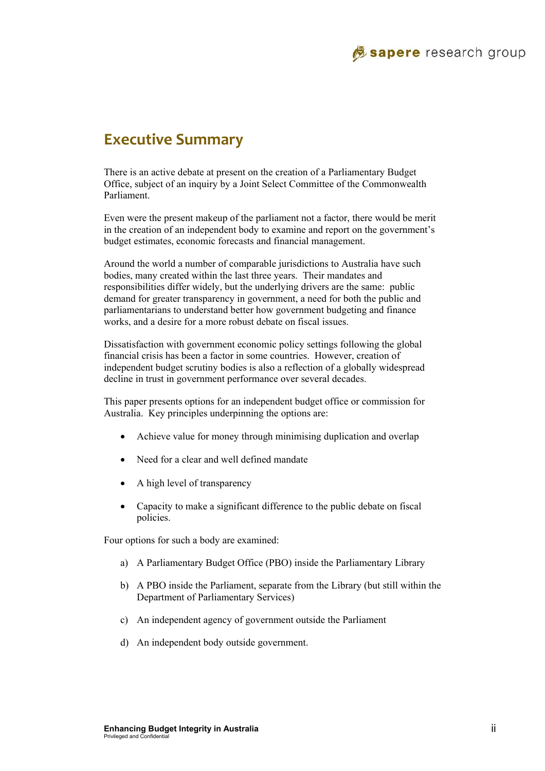# **Executive Summary**

There is an active debate at present on the creation of a Parliamentary Budget Office, subject of an inquiry by a Joint Select Committee of the Commonwealth Parliament.

Even were the present makeup of the parliament not a factor, there would be merit in the creation of an independent body to examine and report on the government's budget estimates, economic forecasts and financial management.

Around the world a number of comparable jurisdictions to Australia have such bodies, many created within the last three years. Their mandates and responsibilities differ widely, but the underlying drivers are the same: public demand for greater transparency in government, a need for both the public and parliamentarians to understand better how government budgeting and finance works, and a desire for a more robust debate on fiscal issues.

Dissatisfaction with government economic policy settings following the global financial crisis has been a factor in some countries. However, creation of independent budget scrutiny bodies is also a reflection of a globally widespread decline in trust in government performance over several decades.

This paper presents options for an independent budget office or commission for Australia. Key principles underpinning the options are:

- Achieve value for money through minimising duplication and overlap
- Need for a clear and well defined mandate
- A high level of transparency
- Capacity to make a significant difference to the public debate on fiscal policies.

Four options for such a body are examined:

- a) A Parliamentary Budget Office (PBO) inside the Parliamentary Library
- b) A PBO inside the Parliament, separate from the Library (but still within the Department of Parliamentary Services)
- c) An independent agency of government outside the Parliament
- d) An independent body outside government.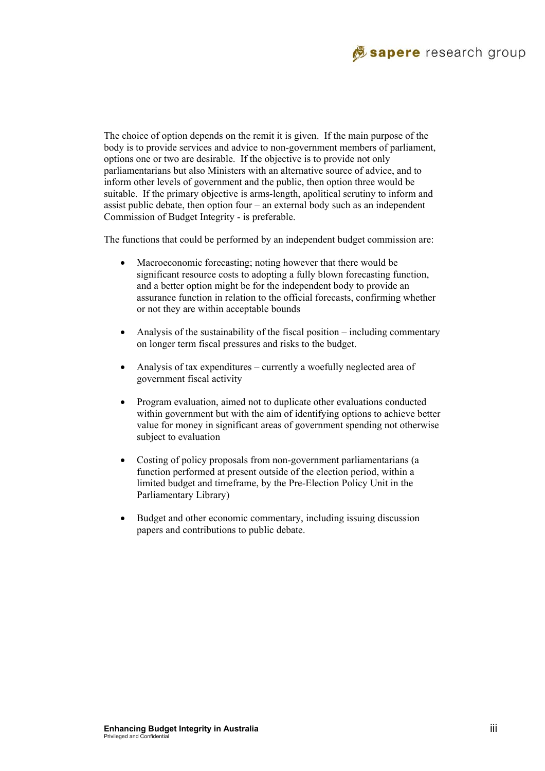# Sapere research group

The choice of option depends on the remit it is given. If the main purpose of the body is to provide services and advice to non-government members of parliament, options one or two are desirable. If the objective is to provide not only parliamentarians but also Ministers with an alternative source of advice, and to inform other levels of government and the public, then option three would be suitable. If the primary objective is arms-length, apolitical scrutiny to inform and assist public debate, then option four – an external body such as an independent Commission of Budget Integrity - is preferable.

The functions that could be performed by an independent budget commission are:

- Macroeconomic forecasting; noting however that there would be significant resource costs to adopting a fully blown forecasting function, and a better option might be for the independent body to provide an assurance function in relation to the official forecasts, confirming whether or not they are within acceptable bounds
- Analysis of the sustainability of the fiscal position including commentary on longer term fiscal pressures and risks to the budget.
- Analysis of tax expenditures currently a woefully neglected area of government fiscal activity
- Program evaluation, aimed not to duplicate other evaluations conducted within government but with the aim of identifying options to achieve better value for money in significant areas of government spending not otherwise subject to evaluation
- Costing of policy proposals from non-government parliamentarians (a function performed at present outside of the election period, within a limited budget and timeframe, by the Pre-Election Policy Unit in the Parliamentary Library)
- Budget and other economic commentary, including issuing discussion papers and contributions to public debate.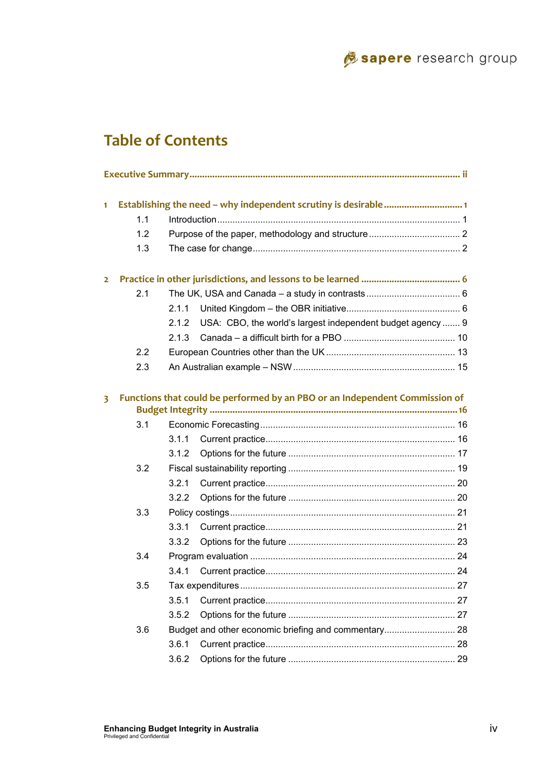

# **Table of Contents**

| $\blacksquare$          |     |       |                                                                             |  |
|-------------------------|-----|-------|-----------------------------------------------------------------------------|--|
|                         | 1.1 |       |                                                                             |  |
|                         | 1.2 |       |                                                                             |  |
|                         | 1.3 |       |                                                                             |  |
| $\overline{2}$          |     |       |                                                                             |  |
|                         | 2.1 |       |                                                                             |  |
|                         |     | 2.1.1 |                                                                             |  |
|                         |     | 2.1.2 | USA: CBO, the world's largest independent budget agency  9                  |  |
|                         |     | 2.1.3 |                                                                             |  |
|                         | 2.2 |       |                                                                             |  |
|                         | 2.3 |       |                                                                             |  |
| $\overline{\mathbf{3}}$ |     |       | Functions that could be performed by an PBO or an Independent Commission of |  |
|                         | 3.1 |       |                                                                             |  |
|                         |     | 3.1.1 |                                                                             |  |
|                         |     | 3.1.2 |                                                                             |  |
|                         | 3.2 |       |                                                                             |  |
|                         |     | 3.2.1 |                                                                             |  |
|                         |     | 3.2.2 |                                                                             |  |
|                         | 3.3 |       |                                                                             |  |
|                         |     | 3.3.1 |                                                                             |  |
|                         |     | 3.3.2 |                                                                             |  |
|                         | 3.4 |       |                                                                             |  |
|                         |     | 3.4.1 |                                                                             |  |
|                         | 3.5 |       |                                                                             |  |
|                         |     | 3.5.1 |                                                                             |  |
|                         |     | 3.5.2 |                                                                             |  |
|                         | 3.6 |       |                                                                             |  |
|                         |     | 3.6.1 |                                                                             |  |
|                         |     | 3.6.2 |                                                                             |  |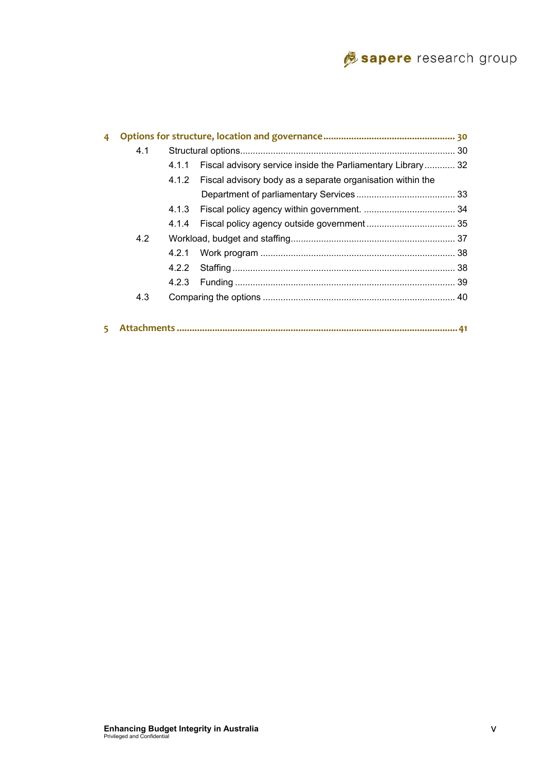# Sapere research group

| 4 |     |       |                                                             |  |
|---|-----|-------|-------------------------------------------------------------|--|
|   | 4.1 |       |                                                             |  |
|   |     | 4.1.1 | Fiscal advisory service inside the Parliamentary Library 32 |  |
|   |     | 4.1.2 | Fiscal advisory body as a separate organisation within the  |  |
|   |     |       |                                                             |  |
|   |     |       |                                                             |  |
|   |     | 4.1.4 |                                                             |  |
|   | 4.2 |       |                                                             |  |
|   |     | 4.2.1 |                                                             |  |
|   |     |       |                                                             |  |
|   |     |       |                                                             |  |
|   | 4.3 |       |                                                             |  |
|   |     |       |                                                             |  |
|   |     |       |                                                             |  |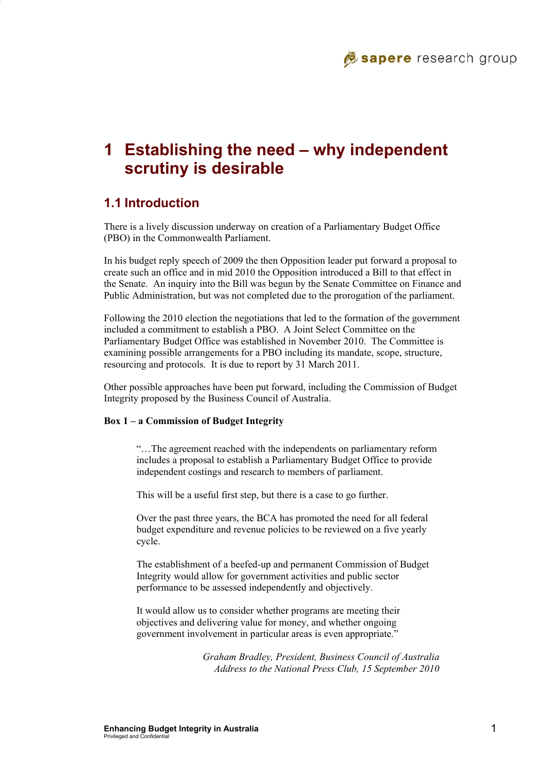# **1 Establishing the need – why independent scrutiny is desirable**

# **1.1 Introduction**

There is a lively discussion underway on creation of a Parliamentary Budget Office (PBO) in the Commonwealth Parliament.

In his budget reply speech of 2009 the then Opposition leader put forward a proposal to create such an office and in mid 2010 the Opposition introduced a Bill to that effect in the Senate. An inquiry into the Bill was begun by the Senate Committee on Finance and Public Administration, but was not completed due to the prorogation of the parliament.

Following the 2010 election the negotiations that led to the formation of the government included a commitment to establish a PBO. A Joint Select Committee on the Parliamentary Budget Office was established in November 2010. The Committee is examining possible arrangements for a PBO including its mandate, scope, structure, resourcing and protocols. It is due to report by 31 March 2011.

Other possible approaches have been put forward, including the Commission of Budget Integrity proposed by the Business Council of Australia.

#### **Box 1 – a Commission of Budget Integrity**

"…The agreement reached with the independents on parliamentary reform includes a proposal to establish a Parliamentary Budget Office to provide independent costings and research to members of parliament.

This will be a useful first step, but there is a case to go further.

Over the past three years, the BCA has promoted the need for all federal budget expenditure and revenue policies to be reviewed on a five yearly cycle.

The establishment of a beefed-up and permanent Commission of Budget Integrity would allow for government activities and public sector performance to be assessed independently and objectively.

It would allow us to consider whether programs are meeting their objectives and delivering value for money, and whether ongoing government involvement in particular areas is even appropriate."

> *Graham Bradley, President, Business Council of Australia Address to the National Press Club, 15 September 2010*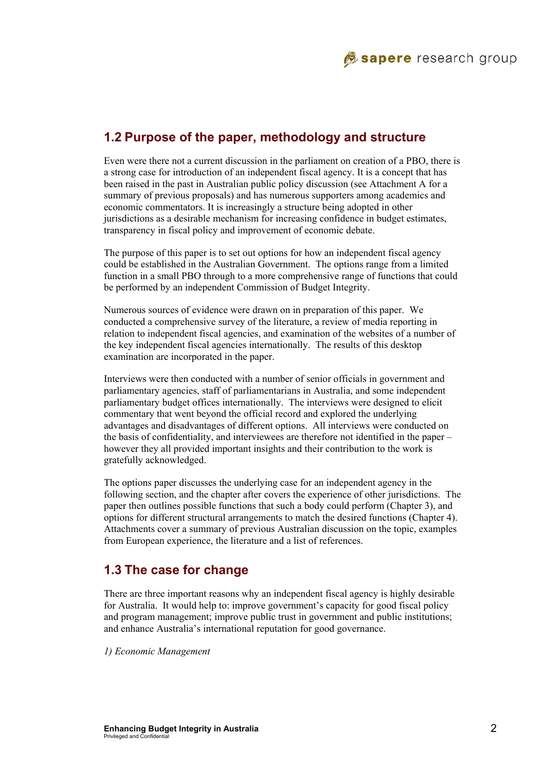# **1.2 Purpose of the paper, methodology and structure**

Even were there not a current discussion in the parliament on creation of a PBO, there is a strong case for introduction of an independent fiscal agency. It is a concept that has been raised in the past in Australian public policy discussion (see Attachment A for a summary of previous proposals) and has numerous supporters among academics and economic commentators. It is increasingly a structure being adopted in other jurisdictions as a desirable mechanism for increasing confidence in budget estimates, transparency in fiscal policy and improvement of economic debate.

The purpose of this paper is to set out options for how an independent fiscal agency could be established in the Australian Government. The options range from a limited function in a small PBO through to a more comprehensive range of functions that could be performed by an independent Commission of Budget Integrity.

Numerous sources of evidence were drawn on in preparation of this paper. We conducted a comprehensive survey of the literature, a review of media reporting in relation to independent fiscal agencies, and examination of the websites of a number of the key independent fiscal agencies internationally. The results of this desktop examination are incorporated in the paper.

Interviews were then conducted with a number of senior officials in government and parliamentary agencies, staff of parliamentarians in Australia, and some independent parliamentary budget offices internationally. The interviews were designed to elicit commentary that went beyond the official record and explored the underlying advantages and disadvantages of different options. All interviews were conducted on the basis of confidentiality, and interviewees are therefore not identified in the paper – however they all provided important insights and their contribution to the work is gratefully acknowledged.

The options paper discusses the underlying case for an independent agency in the following section, and the chapter after covers the experience of other jurisdictions. The paper then outlines possible functions that such a body could perform (Chapter 3), and options for different structural arrangements to match the desired functions (Chapter 4). Attachments cover a summary of previous Australian discussion on the topic, examples from European experience, the literature and a list of references.

# **1.3 The case for change**

There are three important reasons why an independent fiscal agency is highly desirable for Australia. It would help to: improve government's capacity for good fiscal policy and program management; improve public trust in government and public institutions; and enhance Australia's international reputation for good governance.

*1) Economic Management*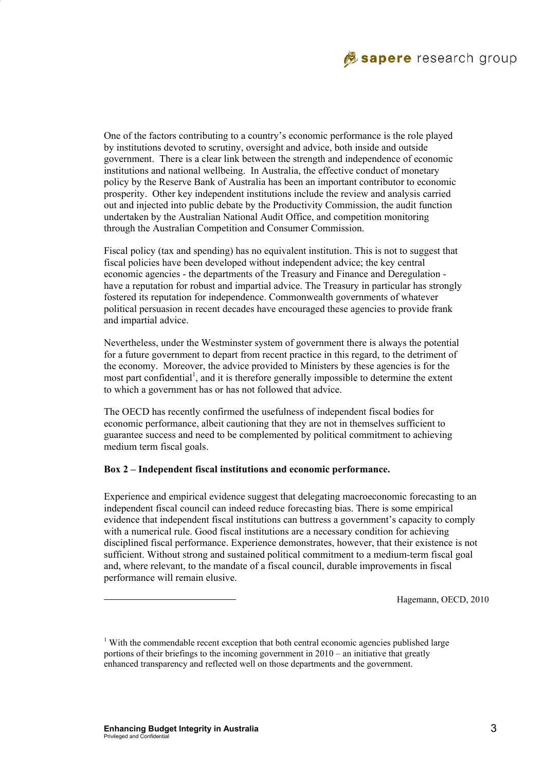

One of the factors contributing to a country's economic performance is the role played by institutions devoted to scrutiny, oversight and advice, both inside and outside government. There is a clear link between the strength and independence of economic institutions and national wellbeing. In Australia, the effective conduct of monetary policy by the Reserve Bank of Australia has been an important contributor to economic prosperity. Other key independent institutions include the review and analysis carried out and injected into public debate by the Productivity Commission, the audit function undertaken by the Australian National Audit Office, and competition monitoring through the Australian Competition and Consumer Commission.

Fiscal policy (tax and spending) has no equivalent institution. This is not to suggest that fiscal policies have been developed without independent advice; the key central economic agencies - the departments of the Treasury and Finance and Deregulation have a reputation for robust and impartial advice. The Treasury in particular has strongly fostered its reputation for independence. Commonwealth governments of whatever political persuasion in recent decades have encouraged these agencies to provide frank and impartial advice.

Nevertheless, under the Westminster system of government there is always the potential for a future government to depart from recent practice in this regard, to the detriment of the economy. Moreover, the advice provided to Ministers by these agencies is for the most part confidential<sup>1</sup>, and it is therefore generally impossible to determine the extent to which a government has or has not followed that advice.

The OECD has recently confirmed the usefulness of independent fiscal bodies for economic performance, albeit cautioning that they are not in themselves sufficient to guarantee success and need to be complemented by political commitment to achieving medium term fiscal goals.

#### **Box 2 – Independent fiscal institutions and economic performance.**

Experience and empirical evidence suggest that delegating macroeconomic forecasting to an independent fiscal council can indeed reduce forecasting bias. There is some empirical evidence that independent fiscal institutions can buttress a government's capacity to comply with a numerical rule. Good fiscal institutions are a necessary condition for achieving disciplined fiscal performance. Experience demonstrates, however, that their existence is not sufficient. Without strong and sustained political commitment to a medium-term fiscal goal and, where relevant, to the mandate of a fiscal council, durable improvements in fiscal performance will remain elusive.

Hagemann, OECD, 2010

l

 $1$  With the commendable recent exception that both central economic agencies published large portions of their briefings to the incoming government in 2010 – an initiative that greatly enhanced transparency and reflected well on those departments and the government.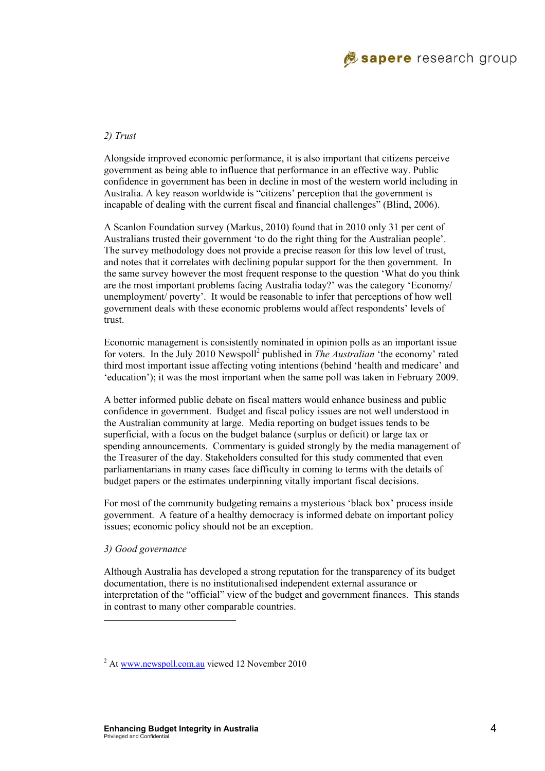

#### *2) Trust*

Alongside improved economic performance, it is also important that citizens perceive government as being able to influence that performance in an effective way. Public confidence in government has been in decline in most of the western world including in Australia. A key reason worldwide is "citizens' perception that the government is incapable of dealing with the current fiscal and financial challenges" (Blind, 2006).

A Scanlon Foundation survey (Markus, 2010) found that in 2010 only 31 per cent of Australians trusted their government 'to do the right thing for the Australian people'. The survey methodology does not provide a precise reason for this low level of trust, and notes that it correlates with declining popular support for the then government. In the same survey however the most frequent response to the question 'What do you think are the most important problems facing Australia today?' was the category 'Economy/ unemployment/ poverty'. It would be reasonable to infer that perceptions of how well government deals with these economic problems would affect respondents' levels of trust.

Economic management is consistently nominated in opinion polls as an important issue for voters. In the July 2010 Newspoll<sup>2</sup> published in *The Australian* 'the economy' rated third most important issue affecting voting intentions (behind 'health and medicare' and 'education'); it was the most important when the same poll was taken in February 2009.

A better informed public debate on fiscal matters would enhance business and public confidence in government. Budget and fiscal policy issues are not well understood in the Australian community at large. Media reporting on budget issues tends to be superficial, with a focus on the budget balance (surplus or deficit) or large tax or spending announcements. Commentary is guided strongly by the media management of the Treasurer of the day. Stakeholders consulted for this study commented that even parliamentarians in many cases face difficulty in coming to terms with the details of budget papers or the estimates underpinning vitally important fiscal decisions.

For most of the community budgeting remains a mysterious 'black box' process inside government. A feature of a healthy democracy is informed debate on important policy issues; economic policy should not be an exception.

#### *3) Good governance*

l

Although Australia has developed a strong reputation for the transparency of its budget documentation, there is no institutionalised independent external assurance or interpretation of the "official" view of the budget and government finances. This stands in contrast to many other comparable countries.

<sup>&</sup>lt;sup>2</sup> At www.newspoll.com.au viewed 12 November 2010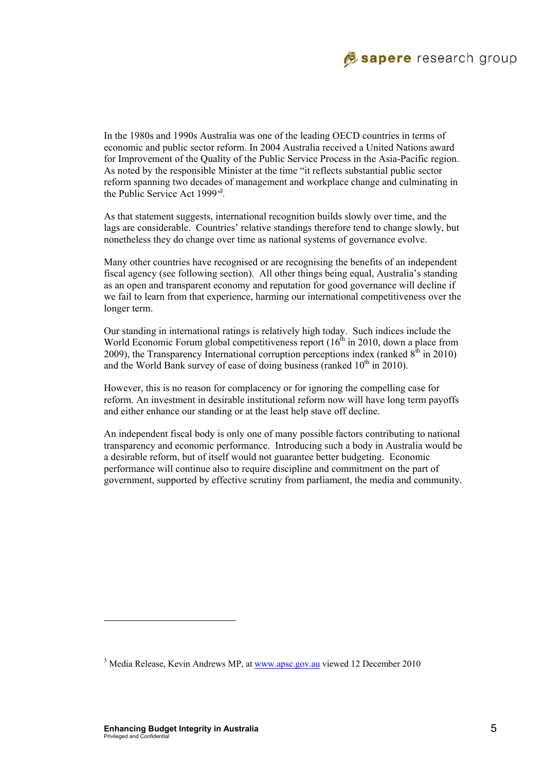

In the 1980s and 1990s Australia was one of the leading OECD countries in terms of economic and public sector reform. In 2004 Australia received a United Nations award for Improvement of the Quality of the Public Service Process in the Asia-Pacific region. As noted by the responsible Minister at the time "it reflects substantial public sector reform spanning two decades of management and workplace change and culminating in the Public Service Act 1999*" 3 .* 

As that statement suggests, international recognition builds slowly over time, and the lags are considerable. Countries' relative standings therefore tend to change slowly, but nonetheless they do change over time as national systems of governance evolve.

Many other countries have recognised or are recognising the benefits of an independent fiscal agency (see following section). All other things being equal, Australia's standing as an open and transparent economy and reputation for good governance will decline if we fail to learn from that experience, harming our international competitiveness over the longer term.

Our standing in international ratings is relatively high today. Such indices include the World Economic Forum global competitiveness report  $(16<sup>th</sup>$  in 2010, down a place from 2009), the Transparency International corruption perceptions index (ranked  $8<sup>th</sup>$  in 2010) and the World Bank survey of ease of doing business (ranked  $10<sup>th</sup>$  in 2010).

However, this is no reason for complacency or for ignoring the compelling case for reform. An investment in desirable institutional reform now will have long term payoffs and either enhance our standing or at the least help stave off decline.

An independent fiscal body is only one of many possible factors contributing to national transparency and economic performance. Introducing such a body in Australia would be a desirable reform, but of itself would not guarantee better budgeting. Economic performance will continue also to require discipline and commitment on the part of government, supported by effective scrutiny from parliament, the media and community.

l

<sup>&</sup>lt;sup>3</sup> Media Release, Kevin Andrews MP, at www.apsc.gov.au viewed 12 December 2010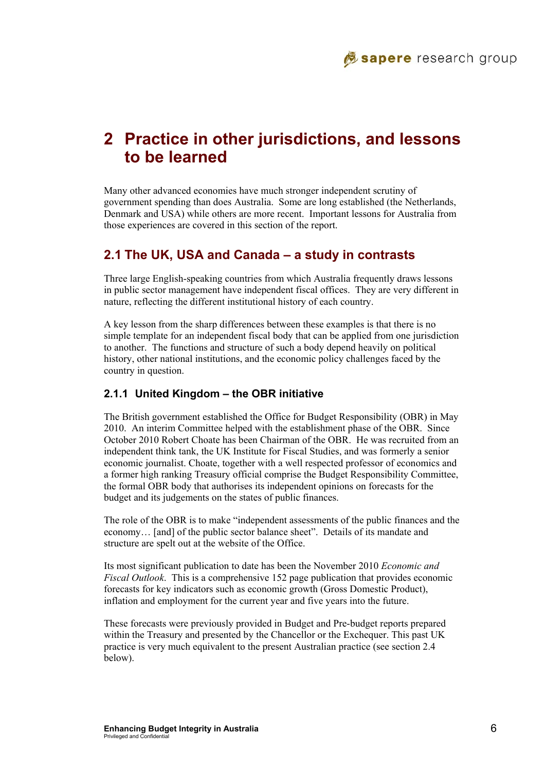# **2 Practice in other jurisdictions, and lessons to be learned**

Many other advanced economies have much stronger independent scrutiny of government spending than does Australia. Some are long established (the Netherlands, Denmark and USA) while others are more recent. Important lessons for Australia from those experiences are covered in this section of the report.

### **2.1 The UK, USA and Canada – a study in contrasts**

Three large English-speaking countries from which Australia frequently draws lessons in public sector management have independent fiscal offices. They are very different in nature, reflecting the different institutional history of each country.

A key lesson from the sharp differences between these examples is that there is no simple template for an independent fiscal body that can be applied from one jurisdiction to another. The functions and structure of such a body depend heavily on political history, other national institutions, and the economic policy challenges faced by the country in question.

### **2.1.1 United Kingdom – the OBR initiative**

The British government established the Office for Budget Responsibility (OBR) in May 2010. An interim Committee helped with the establishment phase of the OBR. Since October 2010 Robert Choate has been Chairman of the OBR. He was recruited from an independent think tank, the UK Institute for Fiscal Studies, and was formerly a senior economic journalist. Choate, together with a well respected professor of economics and a former high ranking Treasury official comprise the Budget Responsibility Committee, the formal OBR body that authorises its independent opinions on forecasts for the budget and its judgements on the states of public finances.

The role of the OBR is to make "independent assessments of the public finances and the economy… [and] of the public sector balance sheet". Details of its mandate and structure are spelt out at the website of the Office.

Its most significant publication to date has been the November 2010 *Economic and Fiscal Outlook*. This is a comprehensive 152 page publication that provides economic forecasts for key indicators such as economic growth (Gross Domestic Product), inflation and employment for the current year and five years into the future.

These forecasts were previously provided in Budget and Pre-budget reports prepared within the Treasury and presented by the Chancellor or the Exchequer. This past UK practice is very much equivalent to the present Australian practice (see section 2.4 below).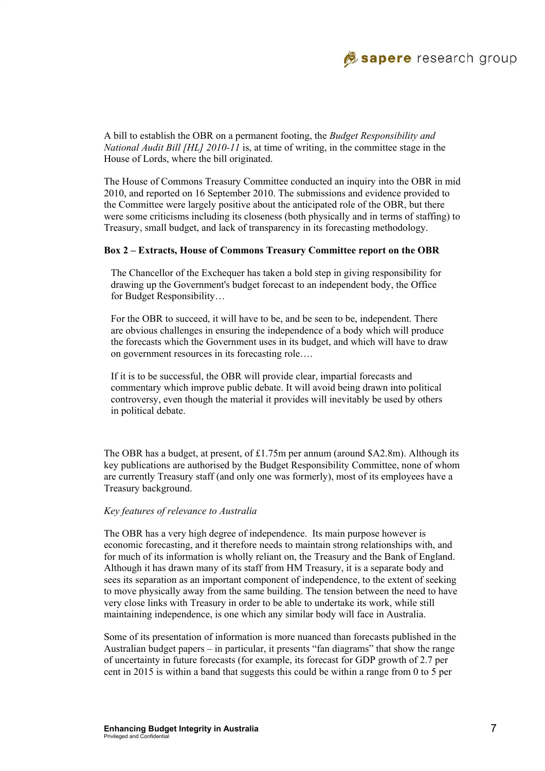

A bill to establish the OBR on a permanent footing, the *Budget Responsibility and National Audit Bill [HL] 2010-11* is, at time of writing, in the committee stage in the House of Lords, where the bill originated.

The House of Commons Treasury Committee conducted an inquiry into the OBR in mid 2010, and reported on 16 September 2010. The submissions and evidence provided to the Committee were largely positive about the anticipated role of the OBR, but there were some criticisms including its closeness (both physically and in terms of staffing) to Treasury, small budget, and lack of transparency in its forecasting methodology.

#### **Box 2 – Extracts, House of Commons Treasury Committee report on the OBR**

The Chancellor of the Exchequer has taken a bold step in giving responsibility for drawing up the Government's budget forecast to an independent body, the Office for Budget Responsibility…

For the OBR to succeed, it will have to be, and be seen to be, independent. There are obvious challenges in ensuring the independence of a body which will produce the forecasts which the Government uses in its budget, and which will have to draw on government resources in its forecasting role….

If it is to be successful, the OBR will provide clear, impartial forecasts and commentary which improve public debate. It will avoid being drawn into political controversy, even though the material it provides will inevitably be used by others in political debate.

The OBR has a budget, at present, of £1.75m per annum (around \$A2.8m). Although its key publications are authorised by the Budget Responsibility Committee, none of whom are currently Treasury staff (and only one was formerly), most of its employees have a Treasury background.

#### *Key features of relevance to Australia*

The OBR has a very high degree of independence. Its main purpose however is economic forecasting, and it therefore needs to maintain strong relationships with, and for much of its information is wholly reliant on, the Treasury and the Bank of England. Although it has drawn many of its staff from HM Treasury, it is a separate body and sees its separation as an important component of independence, to the extent of seeking to move physically away from the same building. The tension between the need to have very close links with Treasury in order to be able to undertake its work, while still maintaining independence, is one which any similar body will face in Australia.

Some of its presentation of information is more nuanced than forecasts published in the Australian budget papers – in particular, it presents "fan diagrams" that show the range of uncertainty in future forecasts (for example, its forecast for GDP growth of 2.7 per cent in 2015 is within a band that suggests this could be within a range from 0 to 5 per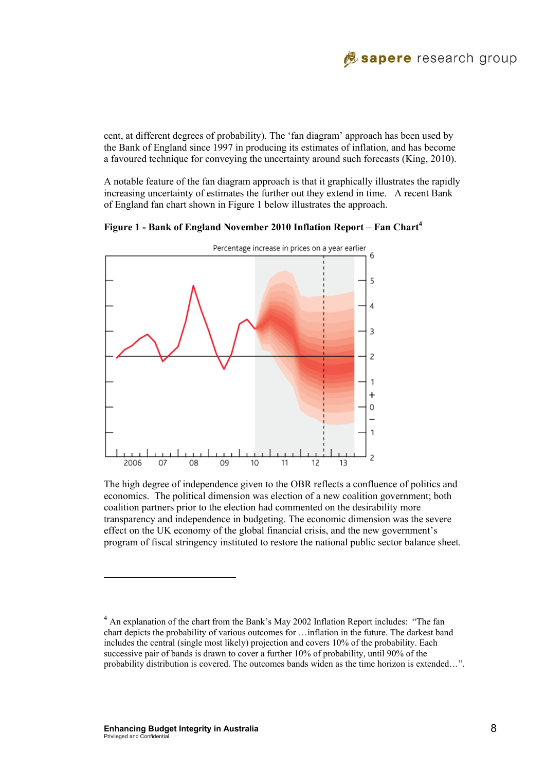

cent, at different degrees of probability). The 'fan diagram' approach has been used by the Bank of England since 1997 in producing its estimates of inflation, and has become a favoured technique for conveving the uncertainty around such forecasts (King, 2010).

A notable feature of the fan diagram approach is that it graphically illustrates the rapidly increasing uncertainty of estimates the further out they extend in time. A recent Bank of England fan chart shown in Figure 1 below illustrates the approach.



**Figure 1 - Bank of England November 2010 Inflation Report – Fan Chart4**

The high degree of independence given to the OBR reflects a confluence of politics and economics. The political dimension was election of a new coalition government; both coalition partners prior to the election had commented on the desirability more transparency and independence in budgeting. The economic dimension was the severe effect on the UK economy of the global financial crisis, and the new government's program of fiscal stringency instituted to restore the national public sector balance sheet.

 $\overline{\phantom{a}}$ 

<sup>&</sup>lt;sup>4</sup> An explanation of the chart from the Bank's May 2002 Inflation Report includes: "The fan chart depicts the probability of various outcomes for …inflation in the future. The darkest band includes the central (single most likely) projection and covers 10% of the probability. Each successive pair of bands is drawn to cover a further 10% of probability, until 90% of the probability distribution is covered. The outcomes bands widen as the time horizon is extended…".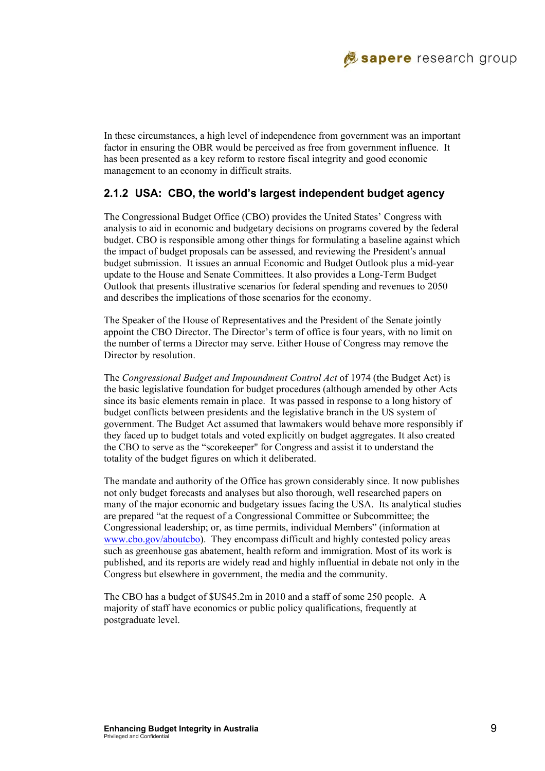

In these circumstances, a high level of independence from government was an important factor in ensuring the OBR would be perceived as free from government influence. It has been presented as a key reform to restore fiscal integrity and good economic management to an economy in difficult straits.

#### **2.1.2 USA: CBO, the world's largest independent budget agency**

The Congressional Budget Office (CBO) provides the United States' Congress with analysis to aid in economic and budgetary decisions on programs covered by the federal budget. CBO is responsible among other things for formulating a baseline against which the impact of budget proposals can be assessed, and reviewing the President's annual budget submission. It issues an annual Economic and Budget Outlook plus a mid-year update to the House and Senate Committees. It also provides a Long-Term Budget Outlook that presents illustrative scenarios for federal spending and revenues to 2050 and describes the implications of those scenarios for the economy.

The Speaker of the House of Representatives and the President of the Senate jointly appoint the CBO Director. The Director's term of office is four years, with no limit on the number of terms a Director may serve. Either House of Congress may remove the Director by resolution.

The *Congressional Budget and Impoundment Control Act* of 1974 (the Budget Act) is the basic legislative foundation for budget procedures (although amended by other Acts since its basic elements remain in place. It was passed in response to a long history of budget conflicts between presidents and the legislative branch in the US system of government. The Budget Act assumed that lawmakers would behave more responsibly if they faced up to budget totals and voted explicitly on budget aggregates. It also created the CBO to serve as the "scorekeeper'' for Congress and assist it to understand the totality of the budget figures on which it deliberated.

The mandate and authority of the Office has grown considerably since. It now publishes not only budget forecasts and analyses but also thorough, well researched papers on many of the major economic and budgetary issues facing the USA. Its analytical studies are prepared "at the request of a Congressional Committee or Subcommittee; the Congressional leadership; or, as time permits, individual Members" (information at www.cbo.gov/aboutcbo). They encompass difficult and highly contested policy areas such as greenhouse gas abatement, health reform and immigration. Most of its work is published, and its reports are widely read and highly influential in debate not only in the Congress but elsewhere in government, the media and the community.

The CBO has a budget of \$US45.2m in 2010 and a staff of some 250 people. A majority of staff have economics or public policy qualifications, frequently at postgraduate level.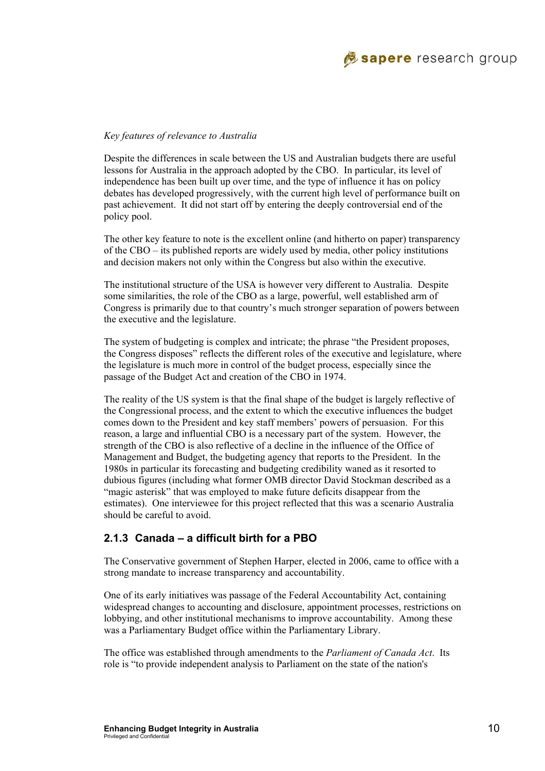

#### *Key features of relevance to Australia*

Despite the differences in scale between the US and Australian budgets there are useful lessons for Australia in the approach adopted by the CBO. In particular, its level of independence has been built up over time, and the type of influence it has on policy debates has developed progressively, with the current high level of performance built on past achievement. It did not start off by entering the deeply controversial end of the policy pool.

The other key feature to note is the excellent online (and hitherto on paper) transparency of the CBO – its published reports are widely used by media, other policy institutions and decision makers not only within the Congress but also within the executive.

The institutional structure of the USA is however very different to Australia. Despite some similarities, the role of the CBO as a large, powerful, well established arm of Congress is primarily due to that country's much stronger separation of powers between the executive and the legislature.

The system of budgeting is complex and intricate; the phrase "the President proposes, the Congress disposes" reflects the different roles of the executive and legislature, where the legislature is much more in control of the budget process, especially since the passage of the Budget Act and creation of the CBO in 1974.

The reality of the US system is that the final shape of the budget is largely reflective of the Congressional process, and the extent to which the executive influences the budget comes down to the President and key staff members' powers of persuasion. For this reason, a large and influential CBO is a necessary part of the system. However, the strength of the CBO is also reflective of a decline in the influence of the Office of Management and Budget, the budgeting agency that reports to the President. In the 1980s in particular its forecasting and budgeting credibility waned as it resorted to dubious figures (including what former OMB director David Stockman described as a "magic asterisk" that was employed to make future deficits disappear from the estimates). One interviewee for this project reflected that this was a scenario Australia should be careful to avoid.

#### **2.1.3 Canada – a difficult birth for a PBO**

The Conservative government of Stephen Harper, elected in 2006, came to office with a strong mandate to increase transparency and accountability.

One of its early initiatives was passage of the Federal Accountability Act, containing widespread changes to accounting and disclosure, appointment processes, restrictions on lobbying, and other institutional mechanisms to improve accountability. Among these was a Parliamentary Budget office within the Parliamentary Library.

The office was established through amendments to the *Parliament of Canada Act*. Its role is "to provide independent analysis to Parliament on the state of the nation's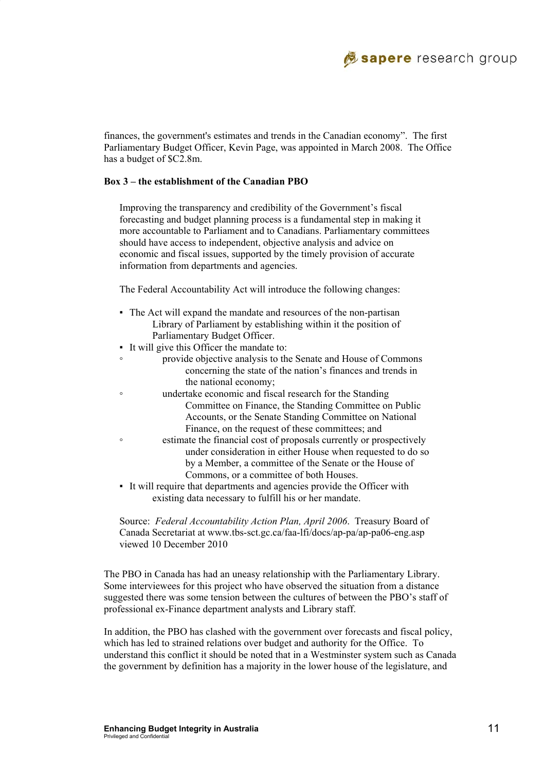

finances, the government's estimates and trends in the Canadian economy". The first Parliamentary Budget Officer, Kevin Page, was appointed in March 2008. The Office has a budget of \$C2.8m.

#### **Box 3 – the establishment of the Canadian PBO**

Improving the transparency and credibility of the Government's fiscal forecasting and budget planning process is a fundamental step in making it more accountable to Parliament and to Canadians. Parliamentary committees should have access to independent, objective analysis and advice on economic and fiscal issues, supported by the timely provision of accurate information from departments and agencies.

The Federal Accountability Act will introduce the following changes:

- The Act will expand the mandate and resources of the non-partisan Library of Parliament by establishing within it the position of Parliamentary Budget Officer.
- It will give this Officer the mandate to:
- provide objective analysis to the Senate and House of Commons concerning the state of the nation's finances and trends in the national economy;
- undertake economic and fiscal research for the Standing Committee on Finance, the Standing Committee on Public Accounts, or the Senate Standing Committee on National Finance, on the request of these committees; and
- estimate the financial cost of proposals currently or prospectively under consideration in either House when requested to do so by a Member, a committee of the Senate or the House of Commons, or a committee of both Houses.
- It will require that departments and agencies provide the Officer with existing data necessary to fulfill his or her mandate.

Source: *Federal Accountability Action Plan, April 2006*. Treasury Board of Canada Secretariat at www.tbs-sct.gc.ca/faa-lfi/docs/ap-pa/ap-pa06-eng.asp viewed 10 December 2010

The PBO in Canada has had an uneasy relationship with the Parliamentary Library. Some interviewees for this project who have observed the situation from a distance suggested there was some tension between the cultures of between the PBO's staff of professional ex-Finance department analysts and Library staff.

In addition, the PBO has clashed with the government over forecasts and fiscal policy, which has led to strained relations over budget and authority for the Office. To understand this conflict it should be noted that in a Westminster system such as Canada the government by definition has a majority in the lower house of the legislature, and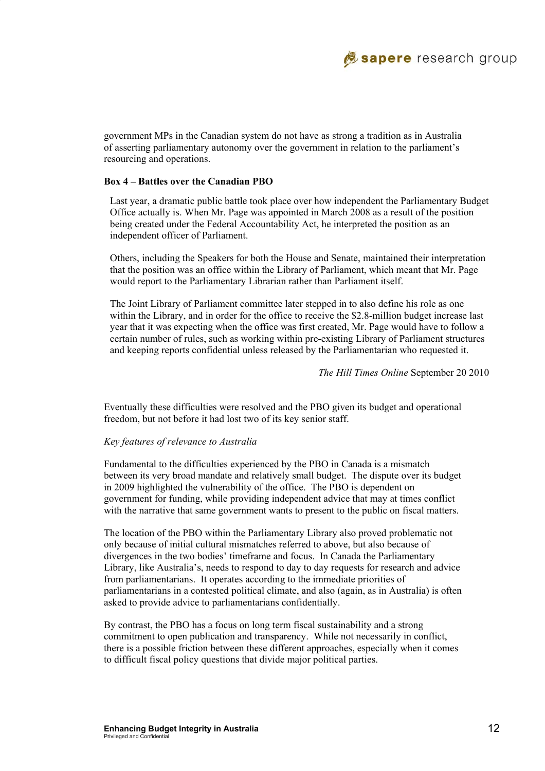government MPs in the Canadian system do not have as strong a tradition as in Australia of asserting parliamentary autonomy over the government in relation to the parliament's resourcing and operations.

#### **Box 4 – Battles over the Canadian PBO**

Last year, a dramatic public battle took place over how independent the Parliamentary Budget Office actually is. When Mr. Page was appointed in March 2008 as a result of the position being created under the Federal Accountability Act, he interpreted the position as an independent officer of Parliament.

Others, including the Speakers for both the House and Senate, maintained their interpretation that the position was an office within the Library of Parliament, which meant that Mr. Page would report to the Parliamentary Librarian rather than Parliament itself.

The Joint Library of Parliament committee later stepped in to also define his role as one within the Library, and in order for the office to receive the \$2.8-million budget increase last year that it was expecting when the office was first created, Mr. Page would have to follow a certain number of rules, such as working within pre-existing Library of Parliament structures and keeping reports confidential unless released by the Parliamentarian who requested it.

*The Hill Times Online* September 20 2010

Eventually these difficulties were resolved and the PBO given its budget and operational freedom, but not before it had lost two of its key senior staff.

#### *Key features of relevance to Australia*

Fundamental to the difficulties experienced by the PBO in Canada is a mismatch between its very broad mandate and relatively small budget. The dispute over its budget in 2009 highlighted the vulnerability of the office. The PBO is dependent on government for funding, while providing independent advice that may at times conflict with the narrative that same government wants to present to the public on fiscal matters.

The location of the PBO within the Parliamentary Library also proved problematic not only because of initial cultural mismatches referred to above, but also because of divergences in the two bodies' timeframe and focus. In Canada the Parliamentary Library, like Australia's, needs to respond to day to day requests for research and advice from parliamentarians. It operates according to the immediate priorities of parliamentarians in a contested political climate, and also (again, as in Australia) is often asked to provide advice to parliamentarians confidentially.

By contrast, the PBO has a focus on long term fiscal sustainability and a strong commitment to open publication and transparency. While not necessarily in conflict, there is a possible friction between these different approaches, especially when it comes to difficult fiscal policy questions that divide major political parties.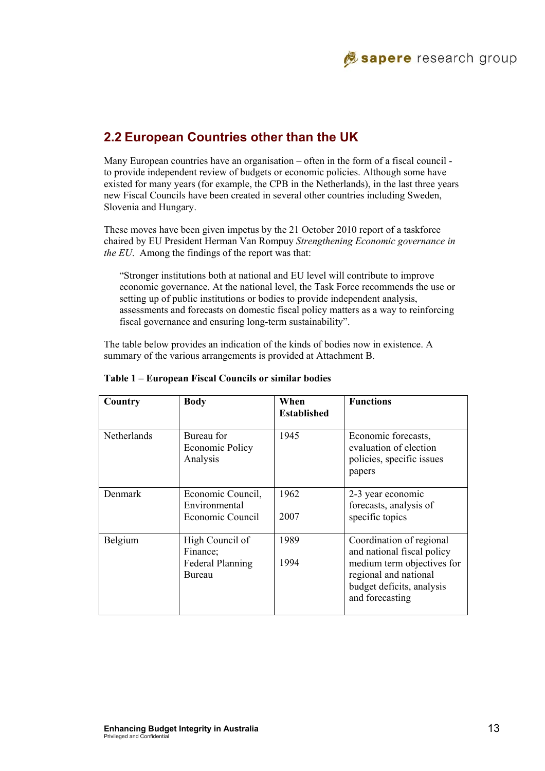

# **2.2 European Countries other than the UK**

Many European countries have an organisation – often in the form of a fiscal council to provide independent review of budgets or economic policies. Although some have existed for many years (for example, the CPB in the Netherlands), in the last three years new Fiscal Councils have been created in several other countries including Sweden, Slovenia and Hungary.

These moves have been given impetus by the 21 October 2010 report of a taskforce chaired by EU President Herman Van Rompuy *Strengthening Economic governance in the EU*. Among the findings of the report was that:

"Stronger institutions both at national and EU level will contribute to improve economic governance. At the national level, the Task Force recommends the use or setting up of public institutions or bodies to provide independent analysis, assessments and forecasts on domestic fiscal policy matters as a way to reinforcing fiscal governance and ensuring long-term sustainability".

The table below provides an indication of the kinds of bodies now in existence. A summary of the various arrangements is provided at Attachment B.

| Country            | <b>Body</b>                                                      | When<br><b>Established</b> | <b>Functions</b>                                                                                                                                              |  |  |
|--------------------|------------------------------------------------------------------|----------------------------|---------------------------------------------------------------------------------------------------------------------------------------------------------------|--|--|
| <b>Netherlands</b> | Bureau for<br>Economic Policy<br>Analysis                        | 1945                       | Economic forecasts,<br>evaluation of election<br>policies, specific issues<br>papers<br>2-3 year economic<br>forecasts, analysis of<br>specific topics        |  |  |
| Denmark            | Economic Council,<br>Environmental<br>Economic Council           | 1962<br>2007               |                                                                                                                                                               |  |  |
| Belgium            | High Council of<br>Finance;<br><b>Federal Planning</b><br>Bureau | 1989<br>1994               | Coordination of regional<br>and national fiscal policy<br>medium term objectives for<br>regional and national<br>budget deficits, analysis<br>and forecasting |  |  |

#### **Table 1 – European Fiscal Councils or similar bodies**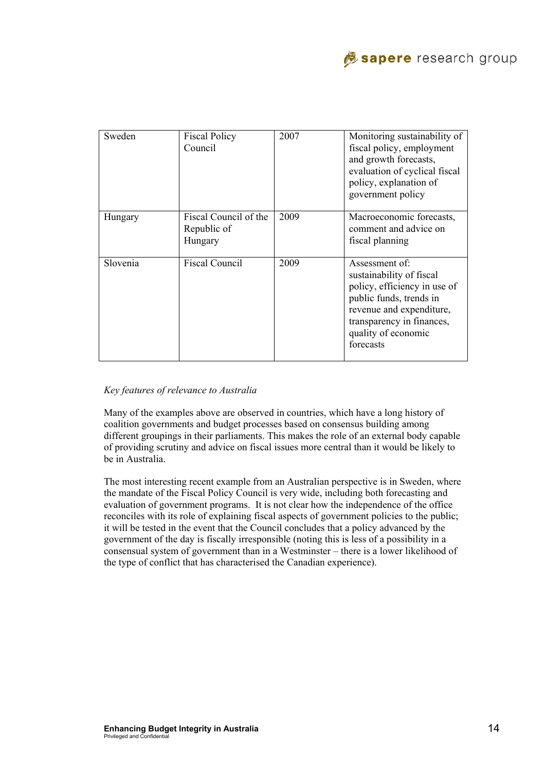

| Sweden   | <b>Fiscal Policy</b><br>Council                 | 2007 | Monitoring sustainability of<br>fiscal policy, employment<br>and growth forecasts,<br>evaluation of cyclical fiscal<br>policy, explanation of<br>government policy                                 |
|----------|-------------------------------------------------|------|----------------------------------------------------------------------------------------------------------------------------------------------------------------------------------------------------|
| Hungary  | Fiscal Council of the<br>Republic of<br>Hungary | 2009 | Macroeconomic forecasts,<br>comment and advice on<br>fiscal planning                                                                                                                               |
| Slovenia | <b>Fiscal Council</b>                           | 2009 | Assessment of:<br>sustainability of fiscal<br>policy, efficiency in use of<br>public funds, trends in<br>revenue and expenditure,<br>transparency in finances,<br>quality of economic<br>forecasts |

#### *Key features of relevance to Australia*

Many of the examples above are observed in countries, which have a long history of coalition governments and budget processes based on consensus building among different groupings in their parliaments. This makes the role of an external body capable of providing scrutiny and advice on fiscal issues more central than it would be likely to be in Australia.

The most interesting recent example from an Australian perspective is in Sweden, where the mandate of the Fiscal Policy Council is very wide, including both forecasting and evaluation of government programs. It is not clear how the independence of the office reconciles with its role of explaining fiscal aspects of government policies to the public; it will be tested in the event that the Council concludes that a policy advanced by the government of the day is fiscally irresponsible (noting this is less of a possibility in a consensual system of government than in a Westminster – there is a lower likelihood of the type of conflict that has characterised the Canadian experience).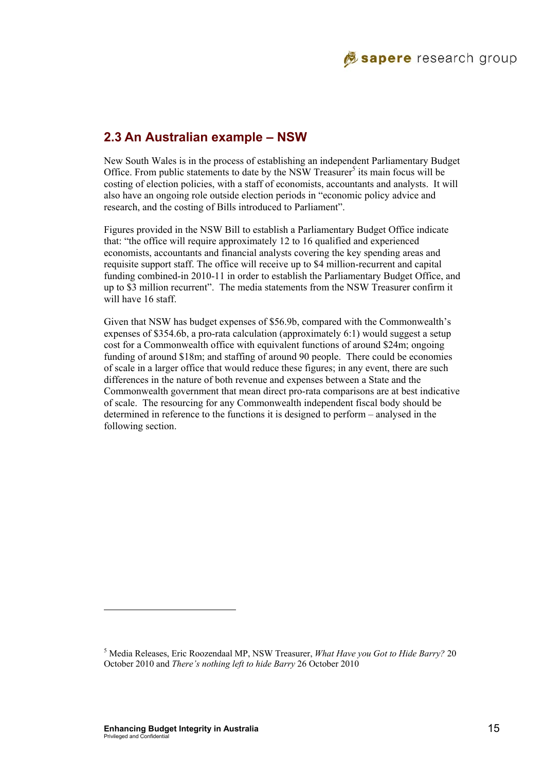

### **2.3 An Australian example – NSW**

New South Wales is in the process of establishing an independent Parliamentary Budget Office. From public statements to date by the NSW Treasurer<sup>5</sup> its main focus will be costing of election policies, with a staff of economists, accountants and analysts. It will also have an ongoing role outside election periods in "economic policy advice and research, and the costing of Bills introduced to Parliament".

Figures provided in the NSW Bill to establish a Parliamentary Budget Office indicate that: "the office will require approximately 12 to 16 qualified and experienced economists, accountants and financial analysts covering the key spending areas and requisite support staff. The office will receive up to \$4 million-recurrent and capital funding combined-in 2010-11 in order to establish the Parliamentary Budget Office, and up to \$3 million recurrent". The media statements from the NSW Treasurer confirm it will have 16 staff.

Given that NSW has budget expenses of \$56.9b, compared with the Commonwealth's expenses of \$354.6b, a pro-rata calculation (approximately 6:1) would suggest a setup cost for a Commonwealth office with equivalent functions of around \$24m; ongoing funding of around \$18m; and staffing of around 90 people. There could be economies of scale in a larger office that would reduce these figures; in any event, there are such differences in the nature of both revenue and expenses between a State and the Commonwealth government that mean direct pro-rata comparisons are at best indicative of scale. The resourcing for any Commonwealth independent fiscal body should be determined in reference to the functions it is designed to perform – analysed in the following section.

 $\overline{\phantom{a}}$ 

<sup>5</sup> Media Releases, Eric Roozendaal MP, NSW Treasurer, *What Have you Got to Hide Barry?* 20 October 2010 and *There's nothing left to hide Barry* 26 October 2010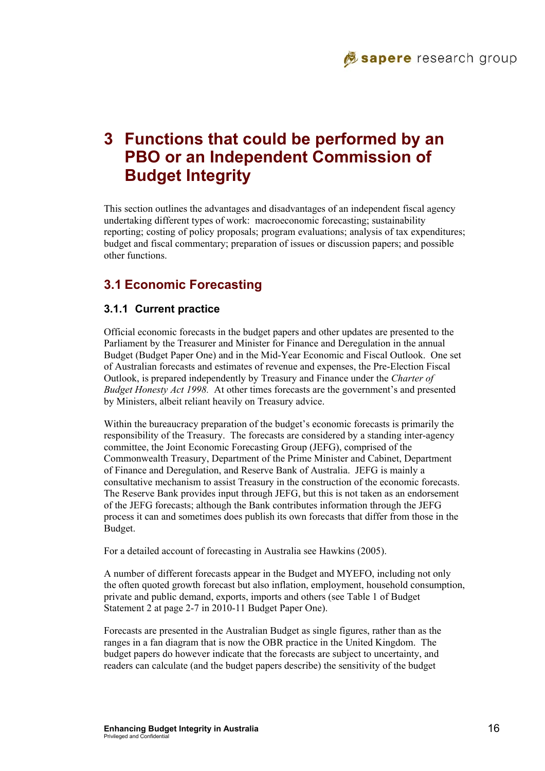

# **3 Functions that could be performed by an PBO or an Independent Commission of Budget Integrity**

This section outlines the advantages and disadvantages of an independent fiscal agency undertaking different types of work: macroeconomic forecasting; sustainability reporting; costing of policy proposals; program evaluations; analysis of tax expenditures; budget and fiscal commentary; preparation of issues or discussion papers; and possible other functions.

# **3.1 Economic Forecasting**

#### **3.1.1 Current practice**

Official economic forecasts in the budget papers and other updates are presented to the Parliament by the Treasurer and Minister for Finance and Deregulation in the annual Budget (Budget Paper One) and in the Mid-Year Economic and Fiscal Outlook. One set of Australian forecasts and estimates of revenue and expenses, the Pre-Election Fiscal Outlook, is prepared independently by Treasury and Finance under the *Charter of Budget Honesty Act 1998.* At other times forecasts are the government's and presented by Ministers, albeit reliant heavily on Treasury advice.

Within the bureaucracy preparation of the budget's economic forecasts is primarily the responsibility of the Treasury. The forecasts are considered by a standing inter-agency committee, the Joint Economic Forecasting Group (JEFG), comprised of the Commonwealth Treasury, Department of the Prime Minister and Cabinet, Department of Finance and Deregulation, and Reserve Bank of Australia. JEFG is mainly a consultative mechanism to assist Treasury in the construction of the economic forecasts. The Reserve Bank provides input through JEFG, but this is not taken as an endorsement of the JEFG forecasts; although the Bank contributes information through the JEFG process it can and sometimes does publish its own forecasts that differ from those in the Budget.

For a detailed account of forecasting in Australia see Hawkins (2005).

A number of different forecasts appear in the Budget and MYEFO, including not only the often quoted growth forecast but also inflation, employment, household consumption, private and public demand, exports, imports and others (see Table 1 of Budget Statement 2 at page 2-7 in 2010-11 Budget Paper One).

Forecasts are presented in the Australian Budget as single figures, rather than as the ranges in a fan diagram that is now the OBR practice in the United Kingdom. The budget papers do however indicate that the forecasts are subject to uncertainty, and readers can calculate (and the budget papers describe) the sensitivity of the budget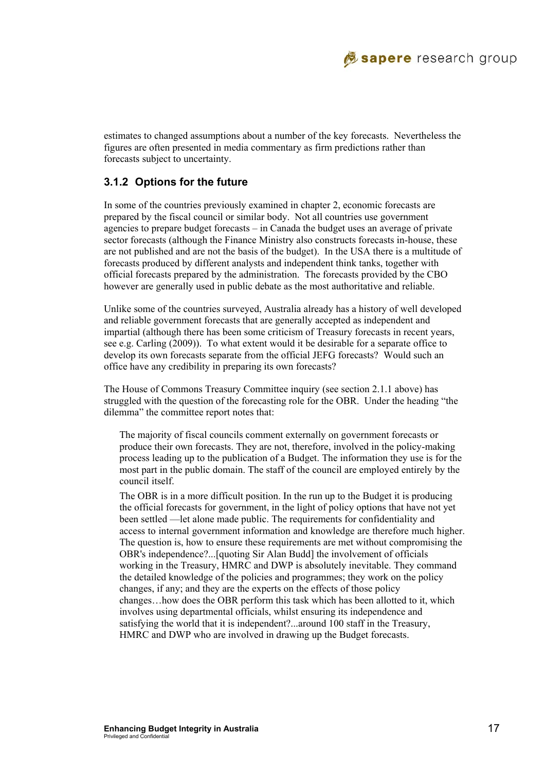

estimates to changed assumptions about a number of the key forecasts. Nevertheless the figures are often presented in media commentary as firm predictions rather than forecasts subject to uncertainty.

#### **3.1.2 Options for the future**

In some of the countries previously examined in chapter 2, economic forecasts are prepared by the fiscal council or similar body. Not all countries use government agencies to prepare budget forecasts – in Canada the budget uses an average of private sector forecasts (although the Finance Ministry also constructs forecasts in-house, these are not published and are not the basis of the budget). In the USA there is a multitude of forecasts produced by different analysts and independent think tanks, together with official forecasts prepared by the administration. The forecasts provided by the CBO however are generally used in public debate as the most authoritative and reliable.

Unlike some of the countries surveyed, Australia already has a history of well developed and reliable government forecasts that are generally accepted as independent and impartial (although there has been some criticism of Treasury forecasts in recent years, see e.g. Carling (2009)). To what extent would it be desirable for a separate office to develop its own forecasts separate from the official JEFG forecasts? Would such an office have any credibility in preparing its own forecasts?

The House of Commons Treasury Committee inquiry (see section 2.1.1 above) has struggled with the question of the forecasting role for the OBR. Under the heading "the dilemma" the committee report notes that:

The majority of fiscal councils comment externally on government forecasts or produce their own forecasts. They are not, therefore, involved in the policy-making process leading up to the publication of a Budget. The information they use is for the most part in the public domain. The staff of the council are employed entirely by the council itself.

The OBR is in a more difficult position. In the run up to the Budget it is producing the official forecasts for government, in the light of policy options that have not yet been settled —let alone made public. The requirements for confidentiality and access to internal government information and knowledge are therefore much higher. The question is, how to ensure these requirements are met without compromising the OBR's independence?...[quoting Sir Alan Budd] the involvement of officials working in the Treasury, HMRC and DWP is absolutely inevitable. They command the detailed knowledge of the policies and programmes; they work on the policy changes, if any; and they are the experts on the effects of those policy changes…how does the OBR perform this task which has been allotted to it, which involves using departmental officials, whilst ensuring its independence and satisfying the world that it is independent?...around 100 staff in the Treasury, HMRC and DWP who are involved in drawing up the Budget forecasts.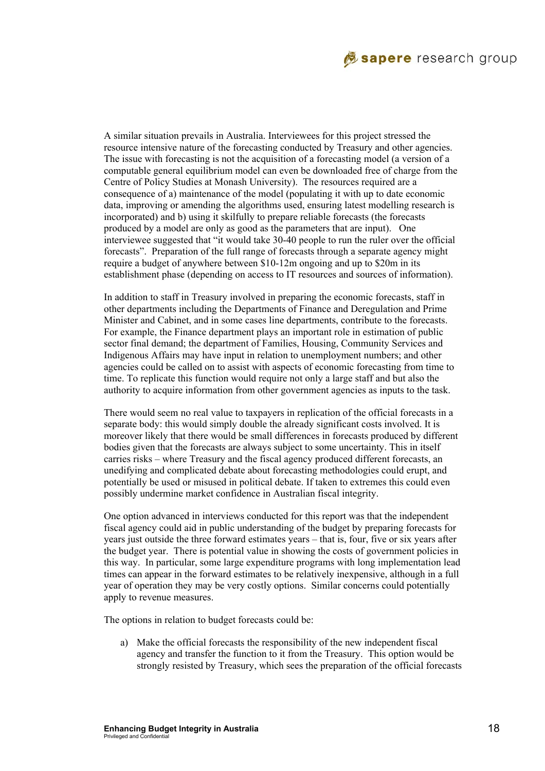

A similar situation prevails in Australia. Interviewees for this project stressed the resource intensive nature of the forecasting conducted by Treasury and other agencies. The issue with forecasting is not the acquisition of a forecasting model (a version of a computable general equilibrium model can even be downloaded free of charge from the Centre of Policy Studies at Monash University). The resources required are a consequence of a) maintenance of the model (populating it with up to date economic data, improving or amending the algorithms used, ensuring latest modelling research is incorporated) and b) using it skilfully to prepare reliable forecasts (the forecasts produced by a model are only as good as the parameters that are input). One interviewee suggested that "it would take 30-40 people to run the ruler over the official forecasts". Preparation of the full range of forecasts through a separate agency might require a budget of anywhere between \$10-12m ongoing and up to \$20m in its establishment phase (depending on access to IT resources and sources of information).

In addition to staff in Treasury involved in preparing the economic forecasts, staff in other departments including the Departments of Finance and Deregulation and Prime Minister and Cabinet, and in some cases line departments, contribute to the forecasts. For example, the Finance department plays an important role in estimation of public sector final demand; the department of Families, Housing, Community Services and Indigenous Affairs may have input in relation to unemployment numbers; and other agencies could be called on to assist with aspects of economic forecasting from time to time. To replicate this function would require not only a large staff and but also the authority to acquire information from other government agencies as inputs to the task.

There would seem no real value to taxpayers in replication of the official forecasts in a separate body: this would simply double the already significant costs involved. It is moreover likely that there would be small differences in forecasts produced by different bodies given that the forecasts are always subject to some uncertainty. This in itself carries risks – where Treasury and the fiscal agency produced different forecasts, an unedifying and complicated debate about forecasting methodologies could erupt, and potentially be used or misused in political debate. If taken to extremes this could even possibly undermine market confidence in Australian fiscal integrity.

One option advanced in interviews conducted for this report was that the independent fiscal agency could aid in public understanding of the budget by preparing forecasts for years just outside the three forward estimates years – that is, four, five or six years after the budget year. There is potential value in showing the costs of government policies in this way. In particular, some large expenditure programs with long implementation lead times can appear in the forward estimates to be relatively inexpensive, although in a full year of operation they may be very costly options. Similar concerns could potentially apply to revenue measures.

The options in relation to budget forecasts could be:

a) Make the official forecasts the responsibility of the new independent fiscal agency and transfer the function to it from the Treasury. This option would be strongly resisted by Treasury, which sees the preparation of the official forecasts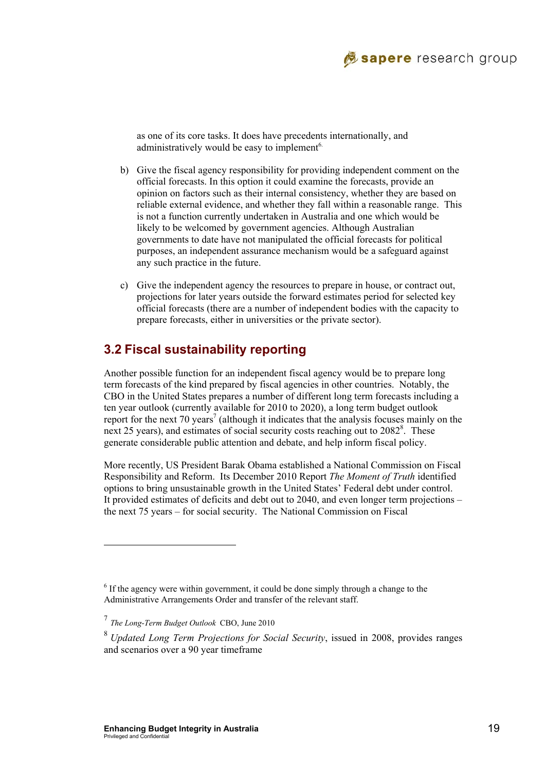

as one of its core tasks. It does have precedents internationally, and administratively would be easy to implement<sup>6.</sup>

- b) Give the fiscal agency responsibility for providing independent comment on the official forecasts. In this option it could examine the forecasts, provide an opinion on factors such as their internal consistency, whether they are based on reliable external evidence, and whether they fall within a reasonable range. This is not a function currently undertaken in Australia and one which would be likely to be welcomed by government agencies. Although Australian governments to date have not manipulated the official forecasts for political purposes, an independent assurance mechanism would be a safeguard against any such practice in the future.
- c) Give the independent agency the resources to prepare in house, or contract out, projections for later years outside the forward estimates period for selected key official forecasts (there are a number of independent bodies with the capacity to prepare forecasts, either in universities or the private sector).

# **3.2 Fiscal sustainability reporting**

Another possible function for an independent fiscal agency would be to prepare long term forecasts of the kind prepared by fiscal agencies in other countries. Notably, the CBO in the United States prepares a number of different long term forecasts including a ten year outlook (currently available for 2010 to 2020), a long term budget outlook report for the next 70 years<sup>7</sup> (although it indicates that the analysis focuses mainly on the next 25 years), and estimates of social security costs reaching out to 2082<sup>8</sup>. These generate considerable public attention and debate, and help inform fiscal policy.

More recently, US President Barak Obama established a National Commission on Fiscal Responsibility and Reform. Its December 2010 Report *The Moment of Truth* identified options to bring unsustainable growth in the United States' Federal debt under control. It provided estimates of deficits and debt out to 2040, and even longer term projections – the next 75 years – for social security. The National Commission on Fiscal

l

<sup>&</sup>lt;sup>6</sup> If the agency were within government, it could be done simply through a change to the Administrative Arrangements Order and transfer of the relevant staff.

<sup>7</sup> *The Long-Term Budget Outlook* CBO, June 2010

<sup>8</sup> *Updated Long Term Projections for Social Security*, issued in 2008, provides ranges and scenarios over a 90 year timeframe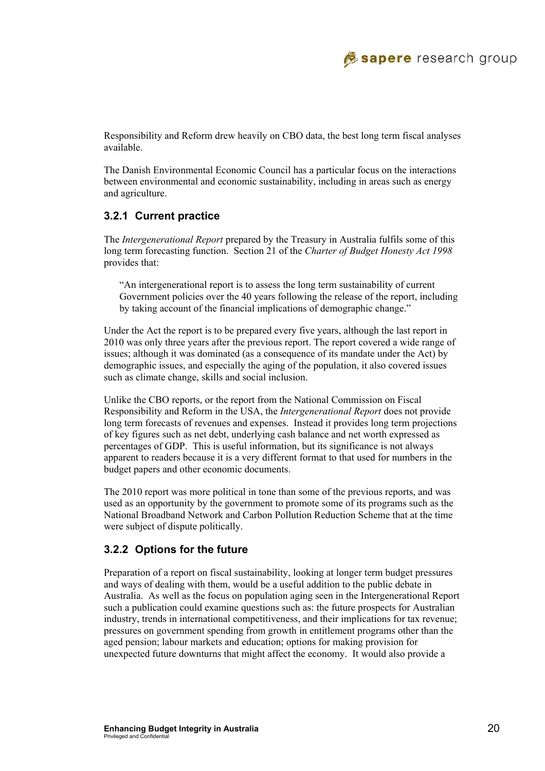

Responsibility and Reform drew heavily on CBO data, the best long term fiscal analyses available.

The Danish Environmental Economic Council has a particular focus on the interactions between environmental and economic sustainability, including in areas such as energy and agriculture.

#### **3.2.1 Current practice**

The *Intergenerational Report* prepared by the Treasury in Australia fulfils some of this long term forecasting function. Section 21 of the *Charter of Budget Honesty Act 1998* provides that:

"An intergenerational report is to assess the long term sustainability of current Government policies over the 40 years following the release of the report, including by taking account of the financial implications of demographic change."

Under the Act the report is to be prepared every five years, although the last report in 2010 was only three years after the previous report. The report covered a wide range of issues; although it was dominated (as a consequence of its mandate under the Act) by demographic issues, and especially the aging of the population, it also covered issues such as climate change, skills and social inclusion.

Unlike the CBO reports, or the report from the National Commission on Fiscal Responsibility and Reform in the USA, the *Intergenerational Report* does not provide long term forecasts of revenues and expenses. Instead it provides long term projections of key figures such as net debt, underlying cash balance and net worth expressed as percentages of GDP. This is useful information, but its significance is not always apparent to readers because it is a very different format to that used for numbers in the budget papers and other economic documents.

The 2010 report was more political in tone than some of the previous reports, and was used as an opportunity by the government to promote some of its programs such as the National Broadband Network and Carbon Pollution Reduction Scheme that at the time were subject of dispute politically.

#### **3.2.2 Options for the future**

Preparation of a report on fiscal sustainability, looking at longer term budget pressures and ways of dealing with them, would be a useful addition to the public debate in Australia. As well as the focus on population aging seen in the Intergenerational Report such a publication could examine questions such as: the future prospects for Australian industry, trends in international competitiveness, and their implications for tax revenue; pressures on government spending from growth in entitlement programs other than the aged pension; labour markets and education; options for making provision for unexpected future downturns that might affect the economy. It would also provide a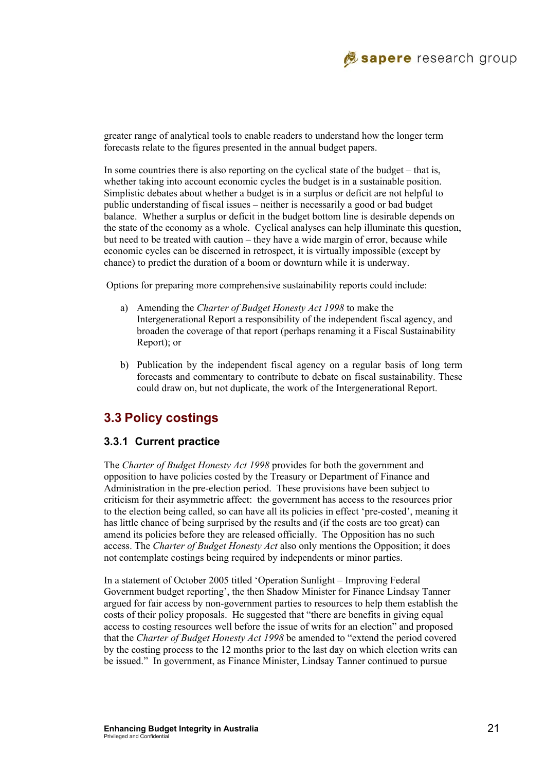

greater range of analytical tools to enable readers to understand how the longer term forecasts relate to the figures presented in the annual budget papers.

In some countries there is also reporting on the cyclical state of the budget – that is, whether taking into account economic cycles the budget is in a sustainable position. Simplistic debates about whether a budget is in a surplus or deficit are not helpful to public understanding of fiscal issues – neither is necessarily a good or bad budget balance. Whether a surplus or deficit in the budget bottom line is desirable depends on the state of the economy as a whole. Cyclical analyses can help illuminate this question, but need to be treated with caution – they have a wide margin of error, because while economic cycles can be discerned in retrospect, it is virtually impossible (except by chance) to predict the duration of a boom or downturn while it is underway.

Options for preparing more comprehensive sustainability reports could include:

- a) Amending the *Charter of Budget Honesty Act 1998* to make the Intergenerational Report a responsibility of the independent fiscal agency, and broaden the coverage of that report (perhaps renaming it a Fiscal Sustainability Report); or
- b) Publication by the independent fiscal agency on a regular basis of long term forecasts and commentary to contribute to debate on fiscal sustainability. These could draw on, but not duplicate, the work of the Intergenerational Report.

### **3.3 Policy costings**

#### **3.3.1 Current practice**

The *Charter of Budget Honesty Act 1998* provides for both the government and opposition to have policies costed by the Treasury or Department of Finance and Administration in the pre-election period. These provisions have been subject to criticism for their asymmetric affect: the government has access to the resources prior to the election being called, so can have all its policies in effect 'pre-costed', meaning it has little chance of being surprised by the results and (if the costs are too great) can amend its policies before they are released officially. The Opposition has no such access. The *Charter of Budget Honesty Act* also only mentions the Opposition; it does not contemplate costings being required by independents or minor parties.

In a statement of October 2005 titled 'Operation Sunlight – Improving Federal Government budget reporting', the then Shadow Minister for Finance Lindsay Tanner argued for fair access by non-government parties to resources to help them establish the costs of their policy proposals. He suggested that "there are benefits in giving equal access to costing resources well before the issue of writs for an election" and proposed that the *Charter of Budget Honesty Act 1998* be amended to "extend the period covered by the costing process to the 12 months prior to the last day on which election writs can be issued." In government, as Finance Minister, Lindsay Tanner continued to pursue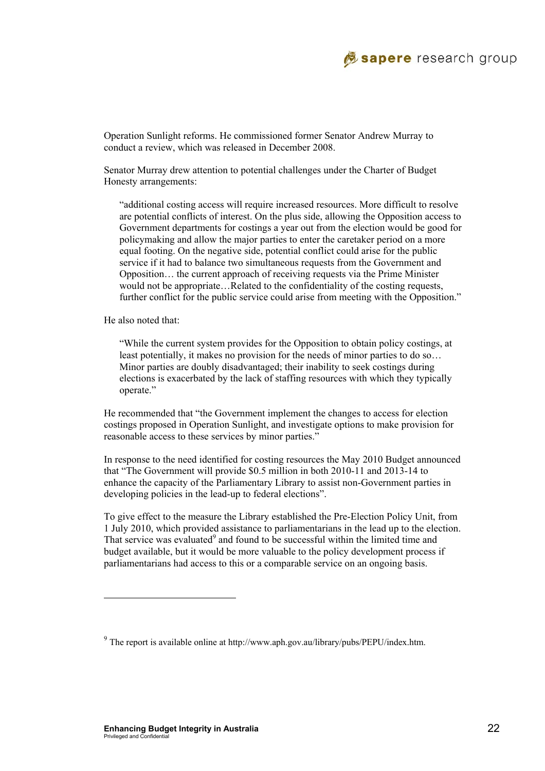

Operation Sunlight reforms. He commissioned former Senator Andrew Murray to conduct a review, which was released in December 2008.

Senator Murray drew attention to potential challenges under the Charter of Budget Honesty arrangements:

"additional costing access will require increased resources. More difficult to resolve are potential conflicts of interest. On the plus side, allowing the Opposition access to Government departments for costings a year out from the election would be good for policymaking and allow the major parties to enter the caretaker period on a more equal footing. On the negative side, potential conflict could arise for the public service if it had to balance two simultaneous requests from the Government and Opposition… the current approach of receiving requests via the Prime Minister would not be appropriate…Related to the confidentiality of the costing requests, further conflict for the public service could arise from meeting with the Opposition."

He also noted that:

 $\overline{\phantom{a}}$ 

"While the current system provides for the Opposition to obtain policy costings, at least potentially, it makes no provision for the needs of minor parties to do so… Minor parties are doubly disadvantaged; their inability to seek costings during elections is exacerbated by the lack of staffing resources with which they typically operate."

He recommended that "the Government implement the changes to access for election costings proposed in Operation Sunlight, and investigate options to make provision for reasonable access to these services by minor parties."

In response to the need identified for costing resources the May 2010 Budget announced that "The Government will provide \$0.5 million in both 2010-11 and 2013-14 to enhance the capacity of the Parliamentary Library to assist non-Government parties in developing policies in the lead-up to federal elections".

To give effect to the measure the Library established the Pre-Election Policy Unit, from 1 July 2010, which provided assistance to parliamentarians in the lead up to the election. That service was evaluated<sup>9</sup> and found to be successful within the limited time and budget available, but it would be more valuable to the policy development process if parliamentarians had access to this or a comparable service on an ongoing basis.

 $9$  The report is available online at http://www.aph.gov.au/library/pubs/PEPU/index.htm.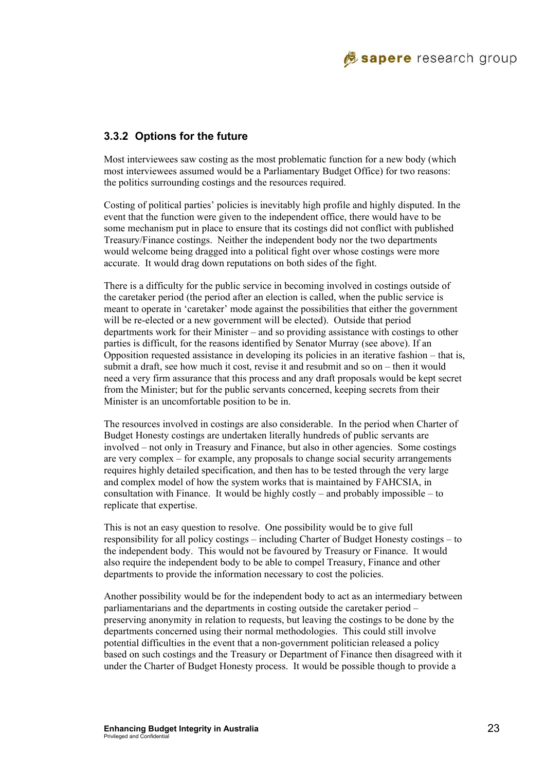

#### **3.3.2 Options for the future**

Most interviewees saw costing as the most problematic function for a new body (which most interviewees assumed would be a Parliamentary Budget Office) for two reasons: the politics surrounding costings and the resources required.

Costing of political parties' policies is inevitably high profile and highly disputed. In the event that the function were given to the independent office, there would have to be some mechanism put in place to ensure that its costings did not conflict with published Treasury/Finance costings. Neither the independent body nor the two departments would welcome being dragged into a political fight over whose costings were more accurate. It would drag down reputations on both sides of the fight.

There is a difficulty for the public service in becoming involved in costings outside of the caretaker period (the period after an election is called, when the public service is meant to operate in 'caretaker' mode against the possibilities that either the government will be re-elected or a new government will be elected). Outside that period departments work for their Minister – and so providing assistance with costings to other parties is difficult, for the reasons identified by Senator Murray (see above). If an Opposition requested assistance in developing its policies in an iterative fashion – that is, submit a draft, see how much it cost, revise it and resubmit and so on – then it would need a very firm assurance that this process and any draft proposals would be kept secret from the Minister; but for the public servants concerned, keeping secrets from their Minister is an uncomfortable position to be in.

The resources involved in costings are also considerable. In the period when Charter of Budget Honesty costings are undertaken literally hundreds of public servants are involved – not only in Treasury and Finance, but also in other agencies. Some costings are very complex – for example, any proposals to change social security arrangements requires highly detailed specification, and then has to be tested through the very large and complex model of how the system works that is maintained by FAHCSIA, in consultation with Finance. It would be highly costly – and probably impossible – to replicate that expertise.

This is not an easy question to resolve. One possibility would be to give full responsibility for all policy costings – including Charter of Budget Honesty costings – to the independent body. This would not be favoured by Treasury or Finance. It would also require the independent body to be able to compel Treasury, Finance and other departments to provide the information necessary to cost the policies.

Another possibility would be for the independent body to act as an intermediary between parliamentarians and the departments in costing outside the caretaker period – preserving anonymity in relation to requests, but leaving the costings to be done by the departments concerned using their normal methodologies. This could still involve potential difficulties in the event that a non-government politician released a policy based on such costings and the Treasury or Department of Finance then disagreed with it under the Charter of Budget Honesty process. It would be possible though to provide a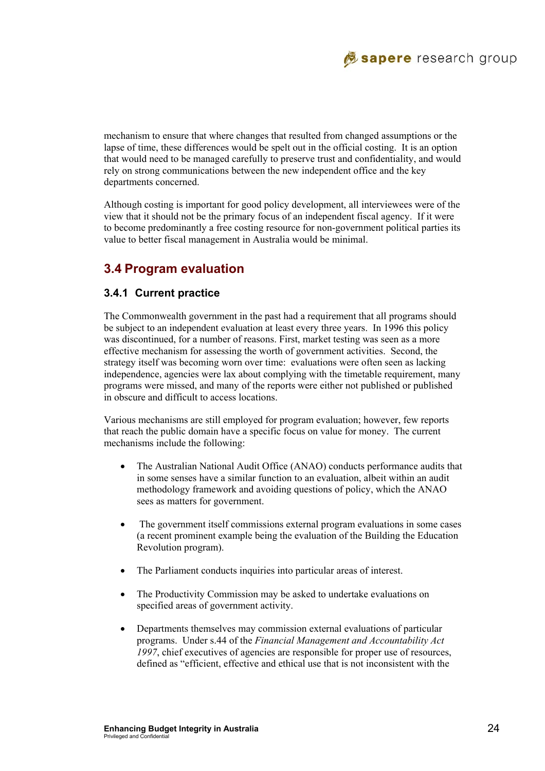mechanism to ensure that where changes that resulted from changed assumptions or the lapse of time, these differences would be spelt out in the official costing. It is an option that would need to be managed carefully to preserve trust and confidentiality, and would rely on strong communications between the new independent office and the key departments concerned.

Although costing is important for good policy development, all interviewees were of the view that it should not be the primary focus of an independent fiscal agency. If it were to become predominantly a free costing resource for non-government political parties its value to better fiscal management in Australia would be minimal.

# **3.4 Program evaluation**

#### **3.4.1 Current practice**

The Commonwealth government in the past had a requirement that all programs should be subject to an independent evaluation at least every three years. In 1996 this policy was discontinued, for a number of reasons. First, market testing was seen as a more effective mechanism for assessing the worth of government activities. Second, the strategy itself was becoming worn over time: evaluations were often seen as lacking independence, agencies were lax about complying with the timetable requirement, many programs were missed, and many of the reports were either not published or published in obscure and difficult to access locations.

Various mechanisms are still employed for program evaluation; however, few reports that reach the public domain have a specific focus on value for money. The current mechanisms include the following:

- The Australian National Audit Office (ANAO) conducts performance audits that in some senses have a similar function to an evaluation, albeit within an audit methodology framework and avoiding questions of policy, which the ANAO sees as matters for government.
- The government itself commissions external program evaluations in some cases (a recent prominent example being the evaluation of the Building the Education Revolution program).
- The Parliament conducts inquiries into particular areas of interest.
- The Productivity Commission may be asked to undertake evaluations on specified areas of government activity.
- Departments themselves may commission external evaluations of particular programs. Under s.44 of the *Financial Management and Accountability Act 1997*, chief executives of agencies are responsible for proper use of resources, defined as "efficient, effective and ethical use that is not inconsistent with the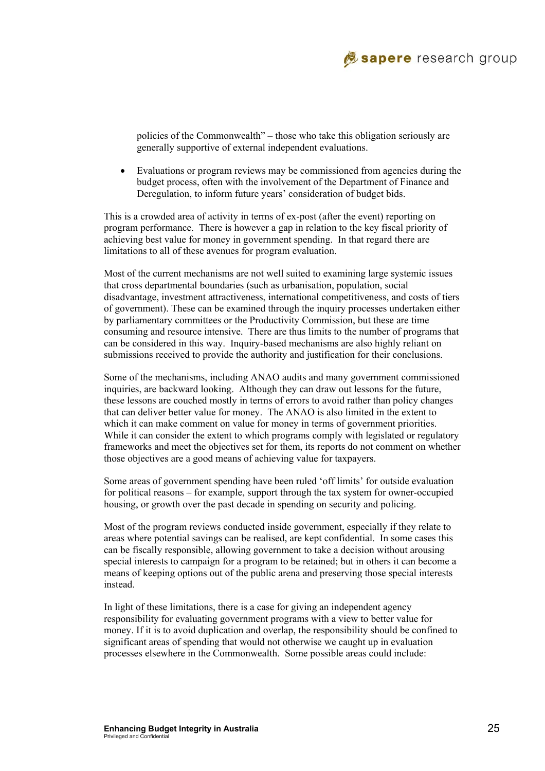

policies of the Commonwealth" – those who take this obligation seriously are generally supportive of external independent evaluations.

• Evaluations or program reviews may be commissioned from agencies during the budget process, often with the involvement of the Department of Finance and Deregulation, to inform future years' consideration of budget bids.

This is a crowded area of activity in terms of ex-post (after the event) reporting on program performance. There is however a gap in relation to the key fiscal priority of achieving best value for money in government spending. In that regard there are limitations to all of these avenues for program evaluation.

Most of the current mechanisms are not well suited to examining large systemic issues that cross departmental boundaries (such as urbanisation, population, social disadvantage, investment attractiveness, international competitiveness, and costs of tiers of government). These can be examined through the inquiry processes undertaken either by parliamentary committees or the Productivity Commission, but these are time consuming and resource intensive. There are thus limits to the number of programs that can be considered in this way. Inquiry-based mechanisms are also highly reliant on submissions received to provide the authority and justification for their conclusions.

Some of the mechanisms, including ANAO audits and many government commissioned inquiries, are backward looking. Although they can draw out lessons for the future, these lessons are couched mostly in terms of errors to avoid rather than policy changes that can deliver better value for money. The ANAO is also limited in the extent to which it can make comment on value for money in terms of government priorities. While it can consider the extent to which programs comply with legislated or regulatory frameworks and meet the objectives set for them, its reports do not comment on whether those objectives are a good means of achieving value for taxpayers.

Some areas of government spending have been ruled 'off limits' for outside evaluation for political reasons – for example, support through the tax system for owner-occupied housing, or growth over the past decade in spending on security and policing.

Most of the program reviews conducted inside government, especially if they relate to areas where potential savings can be realised, are kept confidential. In some cases this can be fiscally responsible, allowing government to take a decision without arousing special interests to campaign for a program to be retained; but in others it can become a means of keeping options out of the public arena and preserving those special interests instead.

In light of these limitations, there is a case for giving an independent agency responsibility for evaluating government programs with a view to better value for money. If it is to avoid duplication and overlap, the responsibility should be confined to significant areas of spending that would not otherwise we caught up in evaluation processes elsewhere in the Commonwealth. Some possible areas could include: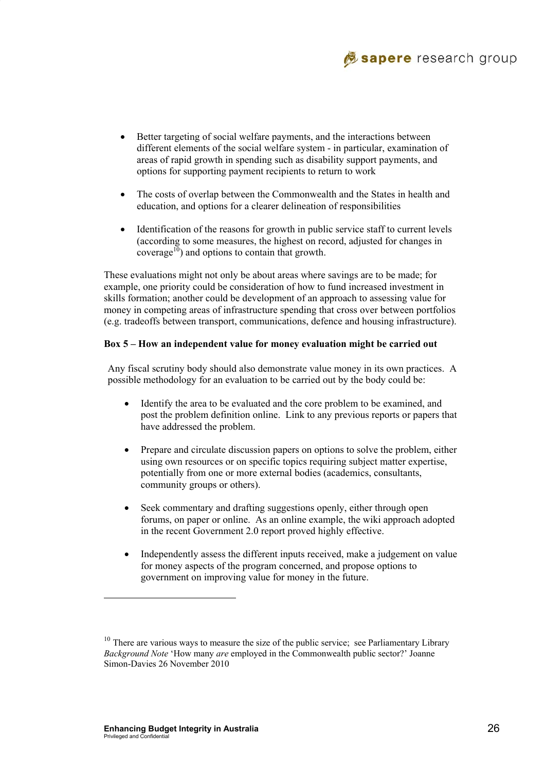

- Better targeting of social welfare payments, and the interactions between different elements of the social welfare system - in particular, examination of areas of rapid growth in spending such as disability support payments, and options for supporting payment recipients to return to work
- The costs of overlap between the Commonwealth and the States in health and education, and options for a clearer delineation of responsibilities
- Identification of the reasons for growth in public service staff to current levels (according to some measures, the highest on record, adjusted for changes in coverage<sup>10</sup>) and options to contain that growth.

These evaluations might not only be about areas where savings are to be made; for example, one priority could be consideration of how to fund increased investment in skills formation; another could be development of an approach to assessing value for money in competing areas of infrastructure spending that cross over between portfolios (e.g. tradeoffs between transport, communications, defence and housing infrastructure).

#### **Box 5 – How an independent value for money evaluation might be carried out**

Any fiscal scrutiny body should also demonstrate value money in its own practices. A possible methodology for an evaluation to be carried out by the body could be:

- Identify the area to be evaluated and the core problem to be examined, and post the problem definition online. Link to any previous reports or papers that have addressed the problem.
- Prepare and circulate discussion papers on options to solve the problem, either using own resources or on specific topics requiring subject matter expertise, potentially from one or more external bodies (academics, consultants, community groups or others).
- Seek commentary and drafting suggestions openly, either through open forums, on paper or online. As an online example, the wiki approach adopted in the recent Government 2.0 report proved highly effective.
- Independently assess the different inputs received, make a judgement on value for money aspects of the program concerned, and propose options to government on improving value for money in the future.

l

 $10$  There are various ways to measure the size of the public service; see Parliamentary Library *Background Note* 'How many *are* employed in the Commonwealth public sector?' Joanne Simon-Davies 26 November 2010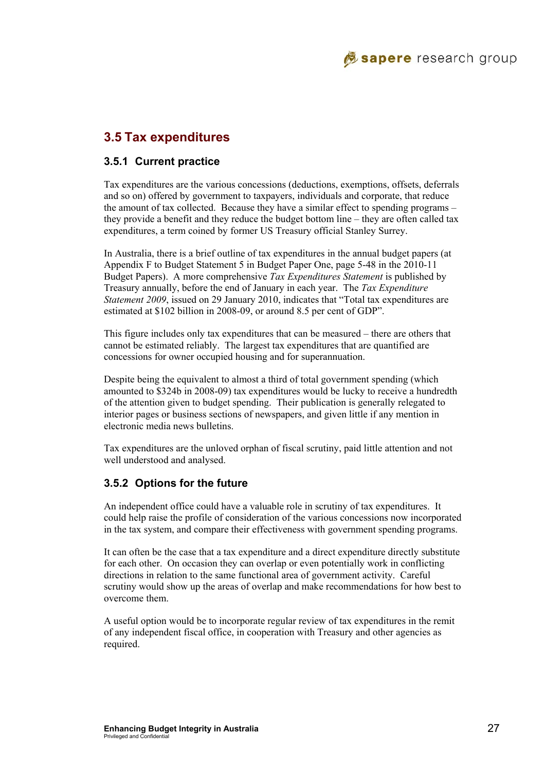### **3.5 Tax expenditures**

#### **3.5.1 Current practice**

Tax expenditures are the various concessions (deductions, exemptions, offsets, deferrals and so on) offered by government to taxpayers, individuals and corporate, that reduce the amount of tax collected. Because they have a similar effect to spending programs – they provide a benefit and they reduce the budget bottom line – they are often called tax expenditures, a term coined by former US Treasury official Stanley Surrey.

In Australia, there is a brief outline of tax expenditures in the annual budget papers (at Appendix F to Budget Statement 5 in Budget Paper One, page 5-48 in the 2010-11 Budget Papers). A more comprehensive *Tax Expenditures Statement* is published by Treasury annually, before the end of January in each year. The *Tax Expenditure Statement 2009*, issued on 29 January 2010, indicates that "Total tax expenditures are estimated at \$102 billion in 2008-09, or around 8.5 per cent of GDP".

This figure includes only tax expenditures that can be measured – there are others that cannot be estimated reliably. The largest tax expenditures that are quantified are concessions for owner occupied housing and for superannuation.

Despite being the equivalent to almost a third of total government spending (which amounted to \$324b in 2008-09) tax expenditures would be lucky to receive a hundredth of the attention given to budget spending. Their publication is generally relegated to interior pages or business sections of newspapers, and given little if any mention in electronic media news bulletins.

Tax expenditures are the unloved orphan of fiscal scrutiny, paid little attention and not well understood and analysed.

#### **3.5.2 Options for the future**

An independent office could have a valuable role in scrutiny of tax expenditures. It could help raise the profile of consideration of the various concessions now incorporated in the tax system, and compare their effectiveness with government spending programs.

It can often be the case that a tax expenditure and a direct expenditure directly substitute for each other. On occasion they can overlap or even potentially work in conflicting directions in relation to the same functional area of government activity. Careful scrutiny would show up the areas of overlap and make recommendations for how best to overcome them.

A useful option would be to incorporate regular review of tax expenditures in the remit of any independent fiscal office, in cooperation with Treasury and other agencies as required.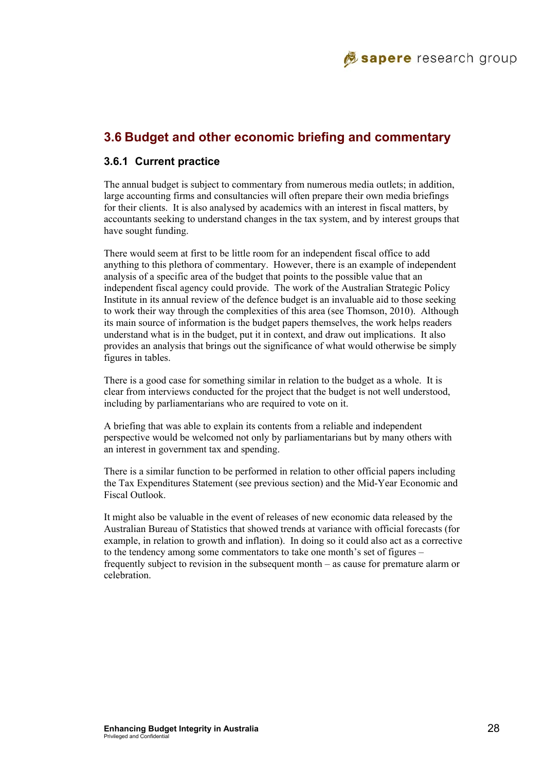### **3.6 Budget and other economic briefing and commentary**

#### **3.6.1 Current practice**

The annual budget is subject to commentary from numerous media outlets; in addition, large accounting firms and consultancies will often prepare their own media briefings for their clients. It is also analysed by academics with an interest in fiscal matters, by accountants seeking to understand changes in the tax system, and by interest groups that have sought funding.

There would seem at first to be little room for an independent fiscal office to add anything to this plethora of commentary. However, there is an example of independent analysis of a specific area of the budget that points to the possible value that an independent fiscal agency could provide. The work of the Australian Strategic Policy Institute in its annual review of the defence budget is an invaluable aid to those seeking to work their way through the complexities of this area (see Thomson, 2010). Although its main source of information is the budget papers themselves, the work helps readers understand what is in the budget, put it in context, and draw out implications. It also provides an analysis that brings out the significance of what would otherwise be simply figures in tables.

There is a good case for something similar in relation to the budget as a whole. It is clear from interviews conducted for the project that the budget is not well understood, including by parliamentarians who are required to vote on it.

A briefing that was able to explain its contents from a reliable and independent perspective would be welcomed not only by parliamentarians but by many others with an interest in government tax and spending.

There is a similar function to be performed in relation to other official papers including the Tax Expenditures Statement (see previous section) and the Mid-Year Economic and Fiscal Outlook.

It might also be valuable in the event of releases of new economic data released by the Australian Bureau of Statistics that showed trends at variance with official forecasts (for example, in relation to growth and inflation). In doing so it could also act as a corrective to the tendency among some commentators to take one month's set of figures – frequently subject to revision in the subsequent month – as cause for premature alarm or celebration.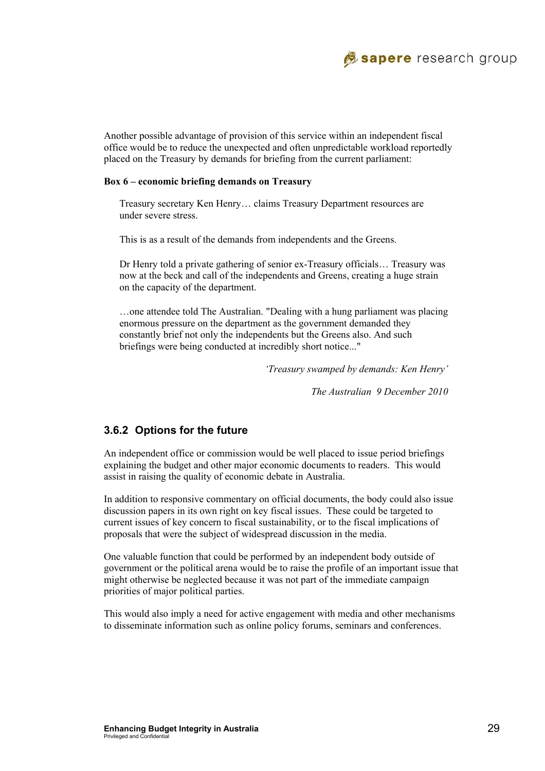

Another possible advantage of provision of this service within an independent fiscal office would be to reduce the unexpected and often unpredictable workload reportedly placed on the Treasury by demands for briefing from the current parliament:

#### **Box 6 – economic briefing demands on Treasury**

Treasury secretary Ken Henry… claims Treasury Department resources are under severe stress.

This is as a result of the demands from independents and the Greens.

Dr Henry told a private gathering of senior ex-Treasury officials… Treasury was now at the beck and call of the independents and Greens, creating a huge strain on the capacity of the department.

…one attendee told The Australian. "Dealing with a hung parliament was placing enormous pressure on the department as the government demanded they constantly brief not only the independents but the Greens also. And such briefings were being conducted at incredibly short notice..."

 *'Treasury swamped by demands: Ken Henry'* 

 *The Australian 9 December 2010* 

#### **3.6.2 Options for the future**

An independent office or commission would be well placed to issue period briefings explaining the budget and other major economic documents to readers. This would assist in raising the quality of economic debate in Australia.

In addition to responsive commentary on official documents, the body could also issue discussion papers in its own right on key fiscal issues. These could be targeted to current issues of key concern to fiscal sustainability, or to the fiscal implications of proposals that were the subject of widespread discussion in the media.

One valuable function that could be performed by an independent body outside of government or the political arena would be to raise the profile of an important issue that might otherwise be neglected because it was not part of the immediate campaign priorities of major political parties.

This would also imply a need for active engagement with media and other mechanisms to disseminate information such as online policy forums, seminars and conferences.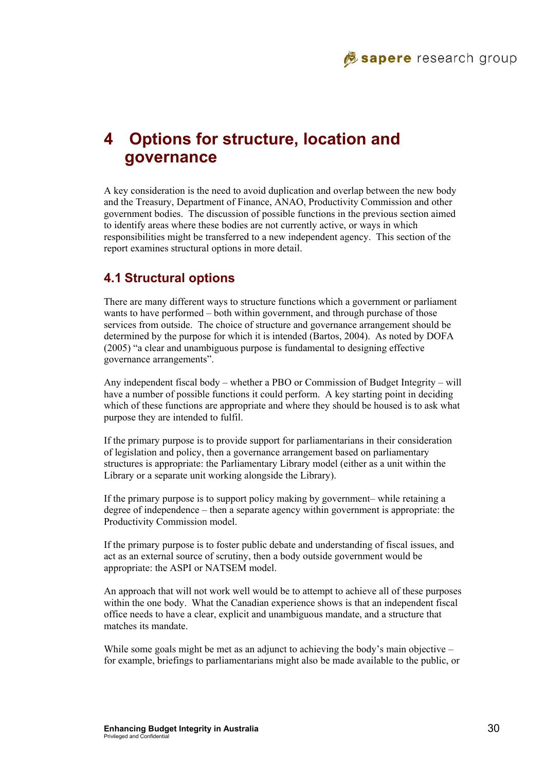

# **4 Options for structure, location and governance**

A key consideration is the need to avoid duplication and overlap between the new body and the Treasury, Department of Finance, ANAO, Productivity Commission and other government bodies. The discussion of possible functions in the previous section aimed to identify areas where these bodies are not currently active, or ways in which responsibilities might be transferred to a new independent agency. This section of the report examines structural options in more detail.

# **4.1 Structural options**

There are many different ways to structure functions which a government or parliament wants to have performed – both within government, and through purchase of those services from outside. The choice of structure and governance arrangement should be determined by the purpose for which it is intended (Bartos, 2004). As noted by DOFA (2005) "a clear and unambiguous purpose is fundamental to designing effective governance arrangements".

Any independent fiscal body – whether a PBO or Commission of Budget Integrity – will have a number of possible functions it could perform. A key starting point in deciding which of these functions are appropriate and where they should be housed is to ask what purpose they are intended to fulfil.

If the primary purpose is to provide support for parliamentarians in their consideration of legislation and policy, then a governance arrangement based on parliamentary structures is appropriate: the Parliamentary Library model (either as a unit within the Library or a separate unit working alongside the Library).

If the primary purpose is to support policy making by government– while retaining a degree of independence – then a separate agency within government is appropriate: the Productivity Commission model.

If the primary purpose is to foster public debate and understanding of fiscal issues, and act as an external source of scrutiny, then a body outside government would be appropriate: the ASPI or NATSEM model.

An approach that will not work well would be to attempt to achieve all of these purposes within the one body. What the Canadian experience shows is that an independent fiscal office needs to have a clear, explicit and unambiguous mandate, and a structure that matches its mandate.

While some goals might be met as an adjunct to achieving the body's main objective – for example, briefings to parliamentarians might also be made available to the public, or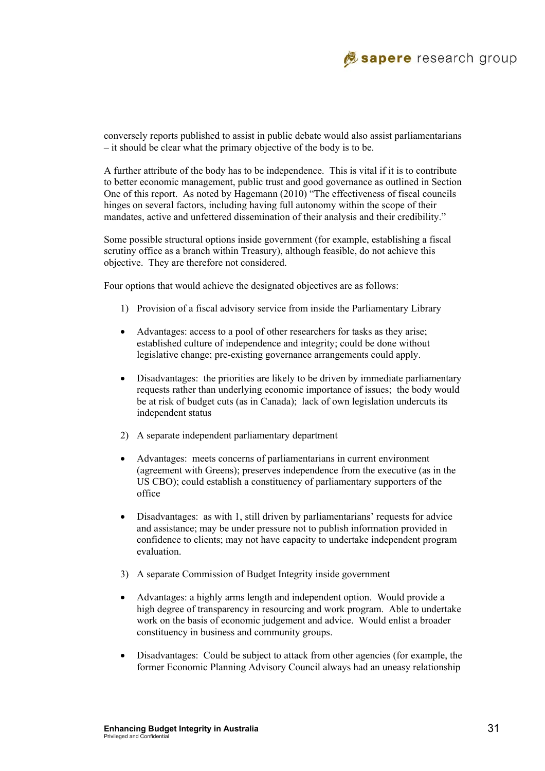

conversely reports published to assist in public debate would also assist parliamentarians – it should be clear what the primary objective of the body is to be.

A further attribute of the body has to be independence. This is vital if it is to contribute to better economic management, public trust and good governance as outlined in Section One of this report. As noted by Hagemann (2010) "The effectiveness of fiscal councils hinges on several factors, including having full autonomy within the scope of their mandates, active and unfettered dissemination of their analysis and their credibility."

Some possible structural options inside government (for example, establishing a fiscal scrutiny office as a branch within Treasury), although feasible, do not achieve this objective. They are therefore not considered.

Four options that would achieve the designated objectives are as follows:

- 1) Provision of a fiscal advisory service from inside the Parliamentary Library
- Advantages: access to a pool of other researchers for tasks as they arise; established culture of independence and integrity; could be done without legislative change; pre-existing governance arrangements could apply.
- Disadvantages: the priorities are likely to be driven by immediate parliamentary requests rather than underlying economic importance of issues; the body would be at risk of budget cuts (as in Canada); lack of own legislation undercuts its independent status
- 2) A separate independent parliamentary department
- Advantages: meets concerns of parliamentarians in current environment (agreement with Greens); preserves independence from the executive (as in the US CBO); could establish a constituency of parliamentary supporters of the office
- Disadvantages: as with 1, still driven by parliamentarians' requests for advice and assistance; may be under pressure not to publish information provided in confidence to clients; may not have capacity to undertake independent program evaluation.
- 3) A separate Commission of Budget Integrity inside government
- Advantages: a highly arms length and independent option. Would provide a high degree of transparency in resourcing and work program. Able to undertake work on the basis of economic judgement and advice. Would enlist a broader constituency in business and community groups.
- Disadvantages: Could be subject to attack from other agencies (for example, the former Economic Planning Advisory Council always had an uneasy relationship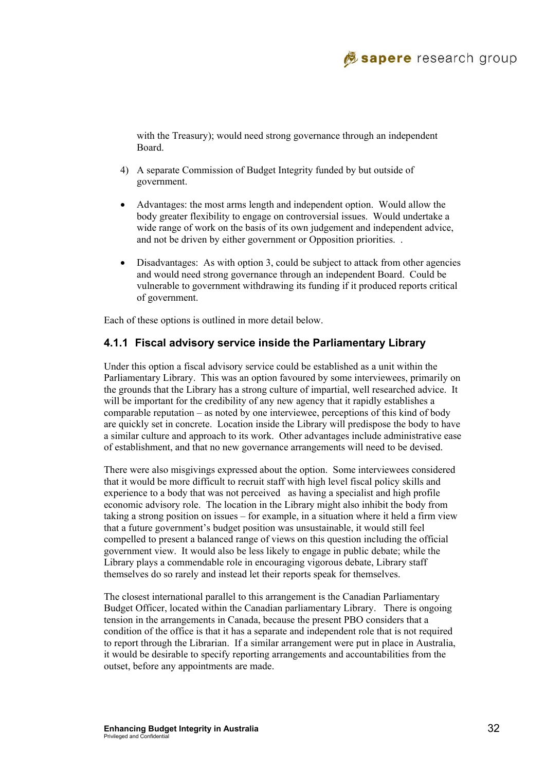

with the Treasury); would need strong governance through an independent Board.

- 4) A separate Commission of Budget Integrity funded by but outside of government.
- Advantages: the most arms length and independent option. Would allow the body greater flexibility to engage on controversial issues. Would undertake a wide range of work on the basis of its own judgement and independent advice, and not be driven by either government or Opposition priorities. .
- Disadvantages: As with option 3, could be subject to attack from other agencies and would need strong governance through an independent Board. Could be vulnerable to government withdrawing its funding if it produced reports critical of government.

Each of these options is outlined in more detail below.

#### **4.1.1 Fiscal advisory service inside the Parliamentary Library**

Under this option a fiscal advisory service could be established as a unit within the Parliamentary Library. This was an option favoured by some interviewees, primarily on the grounds that the Library has a strong culture of impartial, well researched advice. It will be important for the credibility of any new agency that it rapidly establishes a comparable reputation – as noted by one interviewee, perceptions of this kind of body are quickly set in concrete. Location inside the Library will predispose the body to have a similar culture and approach to its work. Other advantages include administrative ease of establishment, and that no new governance arrangements will need to be devised.

There were also misgivings expressed about the option. Some interviewees considered that it would be more difficult to recruit staff with high level fiscal policy skills and experience to a body that was not perceived as having a specialist and high profile economic advisory role. The location in the Library might also inhibit the body from taking a strong position on issues – for example, in a situation where it held a firm view that a future government's budget position was unsustainable, it would still feel compelled to present a balanced range of views on this question including the official government view. It would also be less likely to engage in public debate; while the Library plays a commendable role in encouraging vigorous debate, Library staff themselves do so rarely and instead let their reports speak for themselves.

The closest international parallel to this arrangement is the Canadian Parliamentary Budget Officer, located within the Canadian parliamentary Library. There is ongoing tension in the arrangements in Canada, because the present PBO considers that a condition of the office is that it has a separate and independent role that is not required to report through the Librarian. If a similar arrangement were put in place in Australia, it would be desirable to specify reporting arrangements and accountabilities from the outset, before any appointments are made.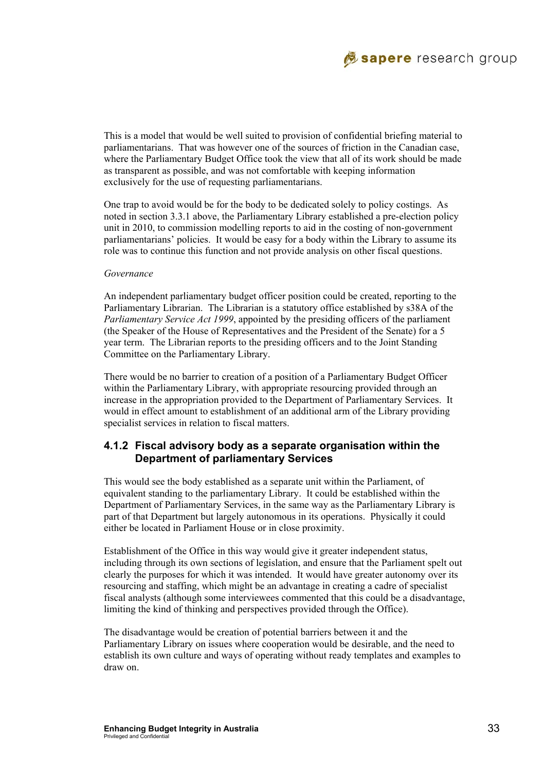

This is a model that would be well suited to provision of confidential briefing material to parliamentarians. That was however one of the sources of friction in the Canadian case, where the Parliamentary Budget Office took the view that all of its work should be made as transparent as possible, and was not comfortable with keeping information exclusively for the use of requesting parliamentarians.

One trap to avoid would be for the body to be dedicated solely to policy costings. As noted in section 3.3.1 above, the Parliamentary Library established a pre-election policy unit in 2010, to commission modelling reports to aid in the costing of non-government parliamentarians' policies. It would be easy for a body within the Library to assume its role was to continue this function and not provide analysis on other fiscal questions.

#### *Governance*

An independent parliamentary budget officer position could be created, reporting to the Parliamentary Librarian. The Librarian is a statutory office established by s38A of the *Parliamentary Service Act 1999*, appointed by the presiding officers of the parliament (the Speaker of the House of Representatives and the President of the Senate) for a 5 year term. The Librarian reports to the presiding officers and to the Joint Standing Committee on the Parliamentary Library.

There would be no barrier to creation of a position of a Parliamentary Budget Officer within the Parliamentary Library, with appropriate resourcing provided through an increase in the appropriation provided to the Department of Parliamentary Services. It would in effect amount to establishment of an additional arm of the Library providing specialist services in relation to fiscal matters.

#### **4.1.2 Fiscal advisory body as a separate organisation within the Department of parliamentary Services**

This would see the body established as a separate unit within the Parliament, of equivalent standing to the parliamentary Library. It could be established within the Department of Parliamentary Services, in the same way as the Parliamentary Library is part of that Department but largely autonomous in its operations. Physically it could either be located in Parliament House or in close proximity.

Establishment of the Office in this way would give it greater independent status, including through its own sections of legislation, and ensure that the Parliament spelt out clearly the purposes for which it was intended. It would have greater autonomy over its resourcing and staffing, which might be an advantage in creating a cadre of specialist fiscal analysts (although some interviewees commented that this could be a disadvantage, limiting the kind of thinking and perspectives provided through the Office).

The disadvantage would be creation of potential barriers between it and the Parliamentary Library on issues where cooperation would be desirable, and the need to establish its own culture and ways of operating without ready templates and examples to draw on.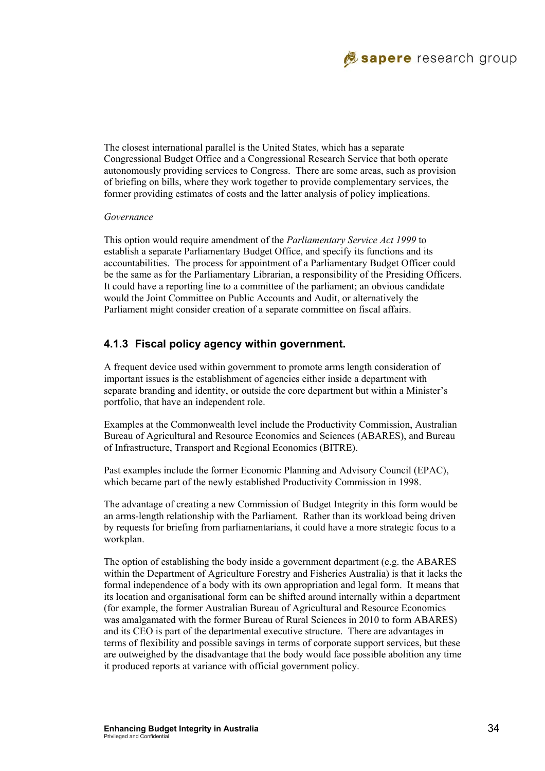

The closest international parallel is the United States, which has a separate Congressional Budget Office and a Congressional Research Service that both operate autonomously providing services to Congress. There are some areas, such as provision of briefing on bills, where they work together to provide complementary services, the former providing estimates of costs and the latter analysis of policy implications.

#### *Governance*

This option would require amendment of the *Parliamentary Service Act 1999* to establish a separate Parliamentary Budget Office, and specify its functions and its accountabilities. The process for appointment of a Parliamentary Budget Officer could be the same as for the Parliamentary Librarian, a responsibility of the Presiding Officers. It could have a reporting line to a committee of the parliament; an obvious candidate would the Joint Committee on Public Accounts and Audit, or alternatively the Parliament might consider creation of a separate committee on fiscal affairs.

#### **4.1.3 Fiscal policy agency within government.**

A frequent device used within government to promote arms length consideration of important issues is the establishment of agencies either inside a department with separate branding and identity, or outside the core department but within a Minister's portfolio, that have an independent role.

Examples at the Commonwealth level include the Productivity Commission, Australian Bureau of Agricultural and Resource Economics and Sciences (ABARES), and Bureau of Infrastructure, Transport and Regional Economics (BITRE).

Past examples include the former Economic Planning and Advisory Council (EPAC), which became part of the newly established Productivity Commission in 1998.

The advantage of creating a new Commission of Budget Integrity in this form would be an arms-length relationship with the Parliament. Rather than its workload being driven by requests for briefing from parliamentarians, it could have a more strategic focus to a workplan.

The option of establishing the body inside a government department (e.g. the ABARES within the Department of Agriculture Forestry and Fisheries Australia) is that it lacks the formal independence of a body with its own appropriation and legal form. It means that its location and organisational form can be shifted around internally within a department (for example, the former Australian Bureau of Agricultural and Resource Economics was amalgamated with the former Bureau of Rural Sciences in 2010 to form ABARES) and its CEO is part of the departmental executive structure. There are advantages in terms of flexibility and possible savings in terms of corporate support services, but these are outweighed by the disadvantage that the body would face possible abolition any time it produced reports at variance with official government policy.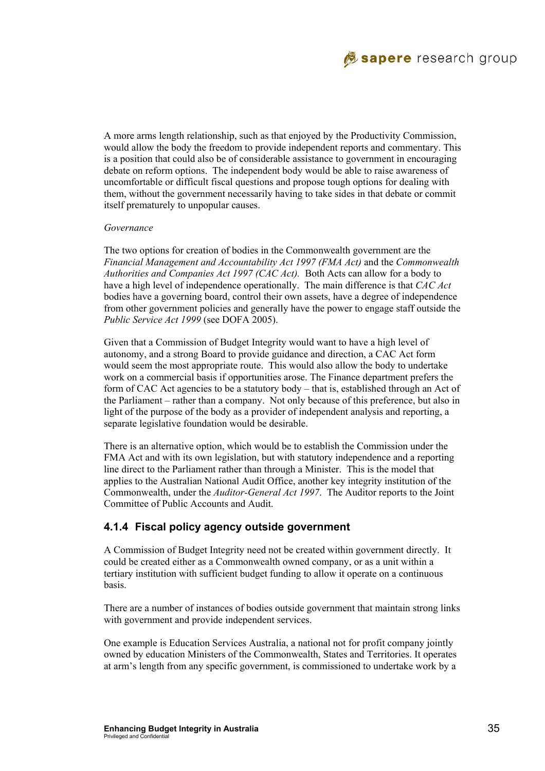

A more arms length relationship, such as that enjoyed by the Productivity Commission, would allow the body the freedom to provide independent reports and commentary. This is a position that could also be of considerable assistance to government in encouraging debate on reform options. The independent body would be able to raise awareness of uncomfortable or difficult fiscal questions and propose tough options for dealing with them, without the government necessarily having to take sides in that debate or commit itself prematurely to unpopular causes.

#### *Governance*

The two options for creation of bodies in the Commonwealth government are the *Financial Management and Accountability Act 1997 (FMA Act)* and the *Commonwealth Authorities and Companies Act 1997 (CAC Act).* Both Acts can allow for a body to have a high level of independence operationally. The main difference is that *CAC Act* bodies have a governing board, control their own assets, have a degree of independence from other government policies and generally have the power to engage staff outside the *Public Service Act 1999* (see DOFA 2005).

Given that a Commission of Budget Integrity would want to have a high level of autonomy, and a strong Board to provide guidance and direction, a CAC Act form would seem the most appropriate route. This would also allow the body to undertake work on a commercial basis if opportunities arose. The Finance department prefers the form of CAC Act agencies to be a statutory body – that is, established through an Act of the Parliament – rather than a company. Not only because of this preference, but also in light of the purpose of the body as a provider of independent analysis and reporting, a separate legislative foundation would be desirable.

There is an alternative option, which would be to establish the Commission under the FMA Act and with its own legislation, but with statutory independence and a reporting line direct to the Parliament rather than through a Minister. This is the model that applies to the Australian National Audit Office, another key integrity institution of the Commonwealth, under the *Auditor-General Act 1997*. The Auditor reports to the Joint Committee of Public Accounts and Audit.

#### **4.1.4 Fiscal policy agency outside government**

A Commission of Budget Integrity need not be created within government directly. It could be created either as a Commonwealth owned company, or as a unit within a tertiary institution with sufficient budget funding to allow it operate on a continuous basis.

There are a number of instances of bodies outside government that maintain strong links with government and provide independent services.

One example is Education Services Australia, a national not for profit company jointly owned by education Ministers of the Commonwealth, States and Territories. It operates at arm's length from any specific government, is commissioned to undertake work by a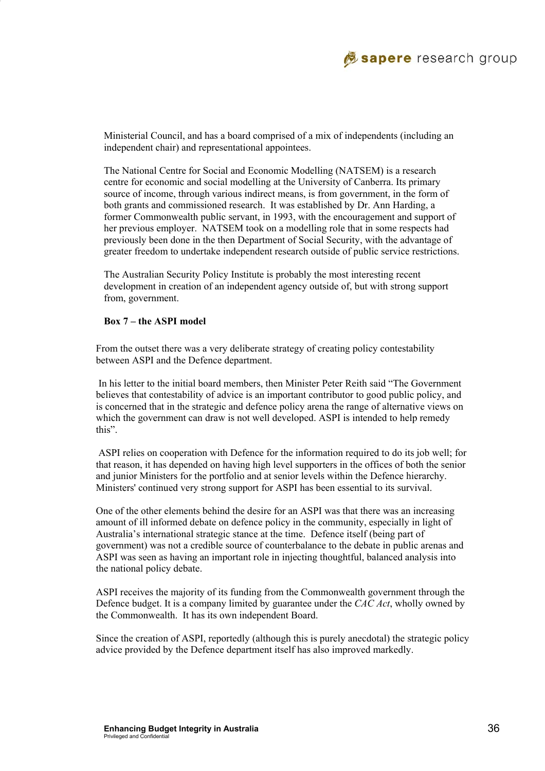

Ministerial Council, and has a board comprised of a mix of independents (including an independent chair) and representational appointees.

The National Centre for Social and Economic Modelling (NATSEM) is a research centre for economic and social modelling at the University of Canberra. Its primary source of income, through various indirect means, is from government, in the form of both grants and commissioned research. It was established by Dr. Ann Harding, a former Commonwealth public servant, in 1993, with the encouragement and support of her previous employer. NATSEM took on a modelling role that in some respects had previously been done in the then Department of Social Security, with the advantage of greater freedom to undertake independent research outside of public service restrictions.

The Australian Security Policy Institute is probably the most interesting recent development in creation of an independent agency outside of, but with strong support from, government.

#### **Box 7 – the ASPI model**

 From the outset there was a very deliberate strategy of creating policy contestability between ASPI and the Defence department.

 In his letter to the initial board members, then Minister Peter Reith said "The Government believes that contestability of advice is an important contributor to good public policy, and is concerned that in the strategic and defence policy arena the range of alternative views on which the government can draw is not well developed. ASPI is intended to help remedy this".

 ASPI relies on cooperation with Defence for the information required to do its job well; for that reason, it has depended on having high level supporters in the offices of both the senior and junior Ministers for the portfolio and at senior levels within the Defence hierarchy. Ministers' continued very strong support for ASPI has been essential to its survival.

One of the other elements behind the desire for an ASPI was that there was an increasing amount of ill informed debate on defence policy in the community, especially in light of Australia's international strategic stance at the time. Defence itself (being part of government) was not a credible source of counterbalance to the debate in public arenas and ASPI was seen as having an important role in injecting thoughtful, balanced analysis into the national policy debate.

ASPI receives the majority of its funding from the Commonwealth government through the Defence budget. It is a company limited by guarantee under the *CAC Act*, wholly owned by the Commonwealth. It has its own independent Board.

Since the creation of ASPI, reportedly (although this is purely anecdotal) the strategic policy advice provided by the Defence department itself has also improved markedly.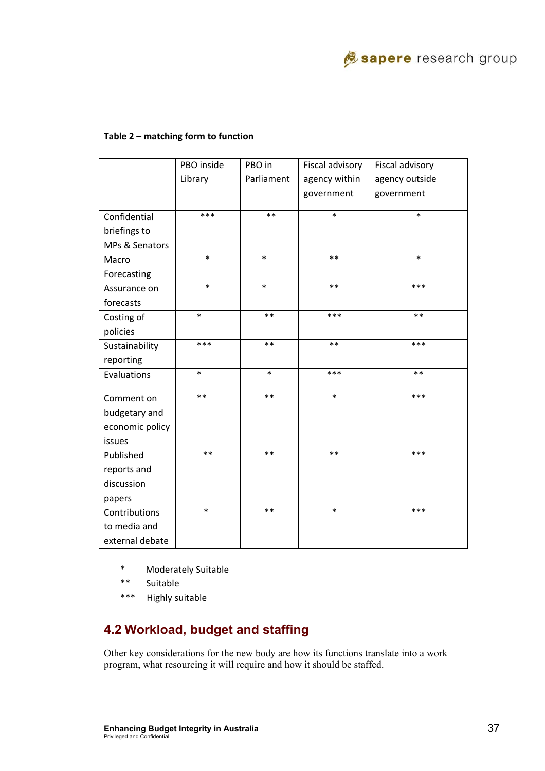

#### **Table 2 – matching form to function**

|                 | PBO inside | PBO in     | Fiscal advisory | Fiscal advisory |
|-----------------|------------|------------|-----------------|-----------------|
|                 | Library    | Parliament | agency within   | agency outside  |
|                 |            |            | government      | government      |
|                 |            |            |                 |                 |
| Confidential    | ***        | $**$       | $\ast$          | $\ast$          |
| briefings to    |            |            |                 |                 |
| MPs & Senators  |            |            |                 |                 |
| Macro           | $\ast$     | $\ast$     | $**$            | $\ast$          |
| Forecasting     |            |            |                 |                 |
| Assurance on    | $\ast$     | $\ast$     | $**$            | ***             |
| forecasts       |            |            |                 |                 |
| Costing of      | $\ast$     | $**$       | ***             | $**$            |
| policies        |            |            |                 |                 |
| Sustainability  | ***        | $\ast\ast$ | $***$           | ***             |
| reporting       |            |            |                 |                 |
| Evaluations     | $\ast$     | $\ast$     | ***             | $**$            |
|                 |            |            |                 |                 |
| Comment on      | $**$       | $**$       | $\ast$          | ***             |
| budgetary and   |            |            |                 |                 |
| economic policy |            |            |                 |                 |
| issues          |            |            |                 |                 |
| Published       | $**$       | $**$       | $**$            | ***             |
| reports and     |            |            |                 |                 |
| discussion      |            |            |                 |                 |
| papers          |            |            |                 |                 |
| Contributions   | $\ast$     | $**$       | $\ast$          | ***             |
| to media and    |            |            |                 |                 |
| external debate |            |            |                 |                 |

- \* Moderately Suitable
- \*\* Suitable
- \*\*\* Highly suitable

# **4.2 Workload, budget and staffing**

Other key considerations for the new body are how its functions translate into a work program, what resourcing it will require and how it should be staffed.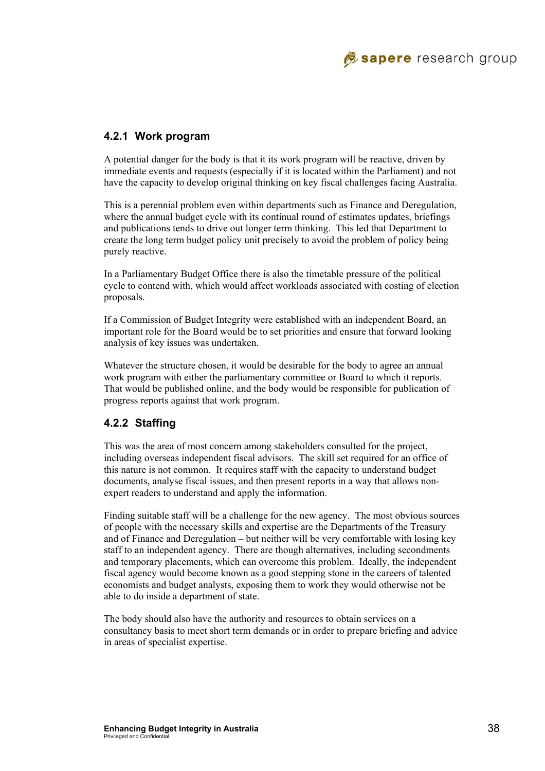

#### **4.2.1 Work program**

A potential danger for the body is that it its work program will be reactive, driven by immediate events and requests (especially if it is located within the Parliament) and not have the capacity to develop original thinking on key fiscal challenges facing Australia.

This is a perennial problem even within departments such as Finance and Deregulation, where the annual budget cycle with its continual round of estimates updates, briefings and publications tends to drive out longer term thinking. This led that Department to create the long term budget policy unit precisely to avoid the problem of policy being purely reactive.

In a Parliamentary Budget Office there is also the timetable pressure of the political cycle to contend with, which would affect workloads associated with costing of election proposals.

If a Commission of Budget Integrity were established with an independent Board, an important role for the Board would be to set priorities and ensure that forward looking analysis of key issues was undertaken.

Whatever the structure chosen, it would be desirable for the body to agree an annual work program with either the parliamentary committee or Board to which it reports. That would be published online, and the body would be responsible for publication of progress reports against that work program.

#### **4.2.2 Staffing**

This was the area of most concern among stakeholders consulted for the project, including overseas independent fiscal advisors. The skill set required for an office of this nature is not common. It requires staff with the capacity to understand budget documents, analyse fiscal issues, and then present reports in a way that allows nonexpert readers to understand and apply the information.

Finding suitable staff will be a challenge for the new agency. The most obvious sources of people with the necessary skills and expertise are the Departments of the Treasury and of Finance and Deregulation – but neither will be very comfortable with losing key staff to an independent agency. There are though alternatives, including secondments and temporary placements, which can overcome this problem. Ideally, the independent fiscal agency would become known as a good stepping stone in the careers of talented economists and budget analysts, exposing them to work they would otherwise not be able to do inside a department of state.

The body should also have the authority and resources to obtain services on a consultancy basis to meet short term demands or in order to prepare briefing and advice in areas of specialist expertise.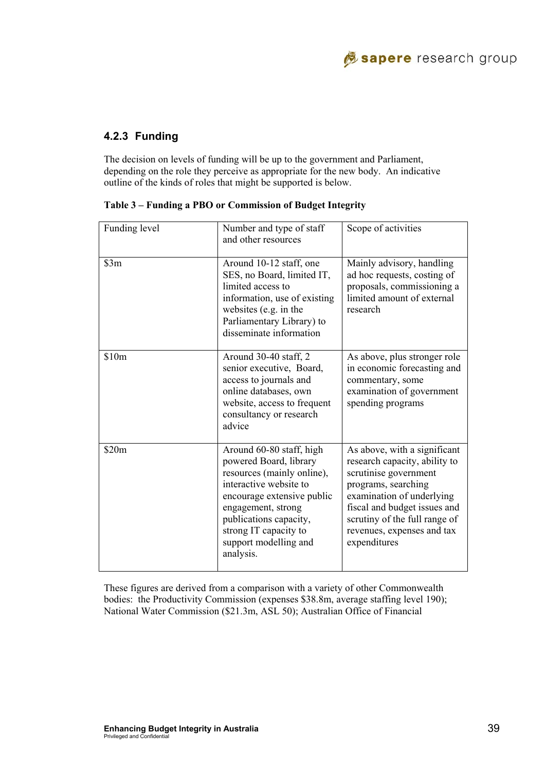

### **4.2.3 Funding**

The decision on levels of funding will be up to the government and Parliament, depending on the role they perceive as appropriate for the new body. An indicative outline of the kinds of roles that might be supported is below.

| Funding level | Number and type of staff<br>and other resources                                                                                                                                                                                                         | Scope of activities                                                                                                                                                                                                                                       |
|---------------|---------------------------------------------------------------------------------------------------------------------------------------------------------------------------------------------------------------------------------------------------------|-----------------------------------------------------------------------------------------------------------------------------------------------------------------------------------------------------------------------------------------------------------|
| \$3m          | Around 10-12 staff, one<br>SES, no Board, limited IT,<br>limited access to<br>information, use of existing<br>websites (e.g. in the<br>Parliamentary Library) to<br>disseminate information                                                             | Mainly advisory, handling<br>ad hoc requests, costing of<br>proposals, commissioning a<br>limited amount of external<br>research                                                                                                                          |
| \$10m         | Around 30-40 staff, 2<br>senior executive, Board,<br>access to journals and<br>online databases, own<br>website, access to frequent<br>consultancy or research<br>advice                                                                                | As above, plus stronger role<br>in economic forecasting and<br>commentary, some<br>examination of government<br>spending programs                                                                                                                         |
| \$20m         | Around 60-80 staff, high<br>powered Board, library<br>resources (mainly online),<br>interactive website to<br>encourage extensive public<br>engagement, strong<br>publications capacity,<br>strong IT capacity to<br>support modelling and<br>analysis. | As above, with a significant<br>research capacity, ability to<br>scrutinise government<br>programs, searching<br>examination of underlying<br>fiscal and budget issues and<br>scrutiny of the full range of<br>revenues, expenses and tax<br>expenditures |

|  |  |  |  |  |  | Table 3 – Funding a PBO or Commission of Budget Integrity |  |
|--|--|--|--|--|--|-----------------------------------------------------------|--|
|  |  |  |  |  |  |                                                           |  |

These figures are derived from a comparison with a variety of other Commonwealth bodies: the Productivity Commission (expenses \$38.8m, average staffing level 190); National Water Commission (\$21.3m, ASL 50); Australian Office of Financial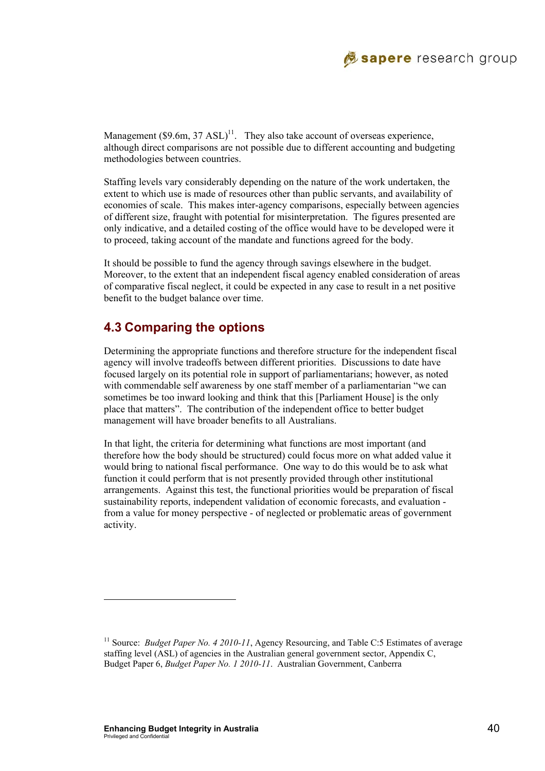

Management (\$9.6m,  $37$  ASL)<sup>11</sup>. They also take account of overseas experience, although direct comparisons are not possible due to different accounting and budgeting methodologies between countries.

Staffing levels vary considerably depending on the nature of the work undertaken, the extent to which use is made of resources other than public servants, and availability of economies of scale. This makes inter-agency comparisons, especially between agencies of different size, fraught with potential for misinterpretation. The figures presented are only indicative, and a detailed costing of the office would have to be developed were it to proceed, taking account of the mandate and functions agreed for the body.

It should be possible to fund the agency through savings elsewhere in the budget. Moreover, to the extent that an independent fiscal agency enabled consideration of areas of comparative fiscal neglect, it could be expected in any case to result in a net positive benefit to the budget balance over time.

# **4.3 Comparing the options**

Determining the appropriate functions and therefore structure for the independent fiscal agency will involve tradeoffs between different priorities. Discussions to date have focused largely on its potential role in support of parliamentarians; however, as noted with commendable self awareness by one staff member of a parliamentarian "we can sometimes be too inward looking and think that this [Parliament House] is the only place that matters". The contribution of the independent office to better budget management will have broader benefits to all Australians.

In that light, the criteria for determining what functions are most important (and therefore how the body should be structured) could focus more on what added value it would bring to national fiscal performance. One way to do this would be to ask what function it could perform that is not presently provided through other institutional arrangements. Against this test, the functional priorities would be preparation of fiscal sustainability reports, independent validation of economic forecasts, and evaluation from a value for money perspective - of neglected or problematic areas of government activity.

l

<sup>&</sup>lt;sup>11</sup> Source: *Budget Paper No. 4 2010-11*, Agency Resourcing, and Table C:5 Estimates of average staffing level (ASL) of agencies in the Australian general government sector, Appendix C, Budget Paper 6, *Budget Paper No. 1 2010-11*. Australian Government, Canberra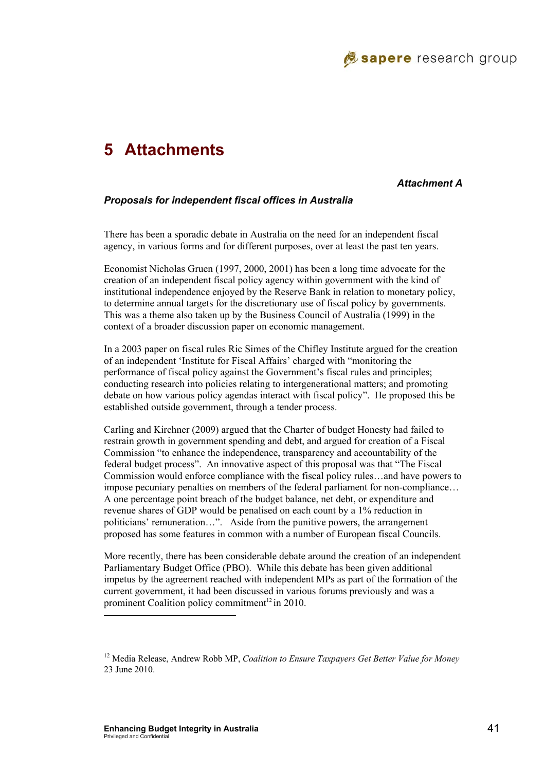

# **5 Attachments**

#### *Attachment A*

#### *Proposals for independent fiscal offices in Australia*

There has been a sporadic debate in Australia on the need for an independent fiscal agency, in various forms and for different purposes, over at least the past ten years.

Economist Nicholas Gruen (1997, 2000, 2001) has been a long time advocate for the creation of an independent fiscal policy agency within government with the kind of institutional independence enjoyed by the Reserve Bank in relation to monetary policy, to determine annual targets for the discretionary use of fiscal policy by governments. This was a theme also taken up by the Business Council of Australia (1999) in the context of a broader discussion paper on economic management.

In a 2003 paper on fiscal rules Ric Simes of the Chifley Institute argued for the creation of an independent 'Institute for Fiscal Affairs' charged with "monitoring the performance of fiscal policy against the Government's fiscal rules and principles; conducting research into policies relating to intergenerational matters; and promoting debate on how various policy agendas interact with fiscal policy". He proposed this be established outside government, through a tender process.

Carling and Kirchner (2009) argued that the Charter of budget Honesty had failed to restrain growth in government spending and debt, and argued for creation of a Fiscal Commission "to enhance the independence, transparency and accountability of the federal budget process". An innovative aspect of this proposal was that "The Fiscal Commission would enforce compliance with the fiscal policy rules…and have powers to impose pecuniary penalties on members of the federal parliament for non-compliance… A one percentage point breach of the budget balance, net debt, or expenditure and revenue shares of GDP would be penalised on each count by a 1% reduction in politicians' remuneration…". Aside from the punitive powers, the arrangement proposed has some features in common with a number of European fiscal Councils.

More recently, there has been considerable debate around the creation of an independent Parliamentary Budget Office (PBO). While this debate has been given additional impetus by the agreement reached with independent MPs as part of the formation of the current government, it had been discussed in various forums previously and was a prominent Coalition policy commitment<sup>12</sup> in 2010.

l

<sup>12</sup> Media Release, Andrew Robb MP, *Coalition to Ensure Taxpayers Get Better Value for Money* 23 June 2010.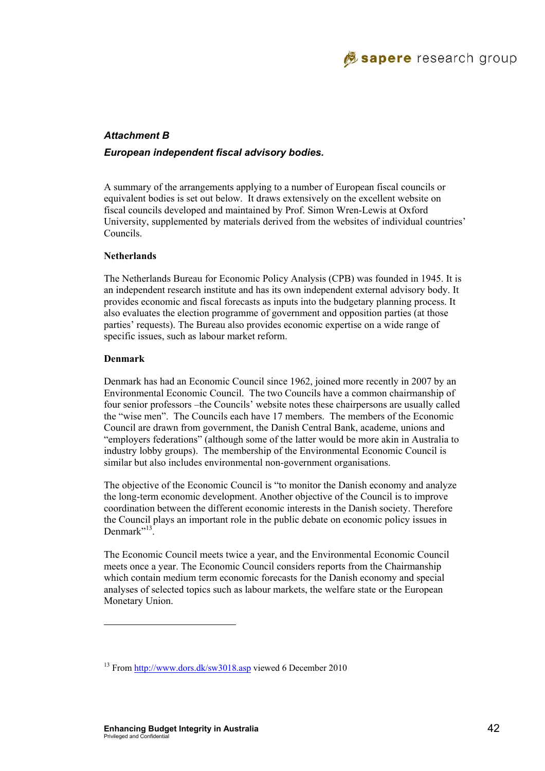

#### *Attachment B*

#### *European independent fiscal advisory bodies.*

A summary of the arrangements applying to a number of European fiscal councils or equivalent bodies is set out below. It draws extensively on the excellent website on fiscal councils developed and maintained by Prof. Simon Wren-Lewis at Oxford University, supplemented by materials derived from the websites of individual countries' Councils.

#### **Netherlands**

The Netherlands Bureau for Economic Policy Analysis (CPB) was founded in 1945. It is an independent research institute and has its own independent external advisory body. It provides economic and fiscal forecasts as inputs into the budgetary planning process. It also evaluates the election programme of government and opposition parties (at those parties' requests). The Bureau also provides economic expertise on a wide range of specific issues, such as labour market reform.

#### **Denmark**

l

Denmark has had an Economic Council since 1962, joined more recently in 2007 by an Environmental Economic Council. The two Councils have a common chairmanship of four senior professors –the Councils' website notes these chairpersons are usually called the "wise men". The Councils each have 17 members. The members of the Economic Council are drawn from government, the Danish Central Bank, academe, unions and "employers federations" (although some of the latter would be more akin in Australia to industry lobby groups). The membership of the Environmental Economic Council is similar but also includes environmental non-government organisations.

The objective of the Economic Council is "to monitor the Danish economy and analyze the long-term economic development. Another objective of the Council is to improve coordination between the different economic interests in the Danish society. Therefore the Council plays an important role in the public debate on economic policy issues in Denmark"<sup>13</sup>

The Economic Council meets twice a year, and the Environmental Economic Council meets once a year. The Economic Council considers reports from the Chairmanship which contain medium term economic forecasts for the Danish economy and special analyses of selected topics such as labour markets, the welfare state or the European Monetary Union.

<sup>&</sup>lt;sup>13</sup> From http://www.dors.dk/sw3018.asp viewed 6 December 2010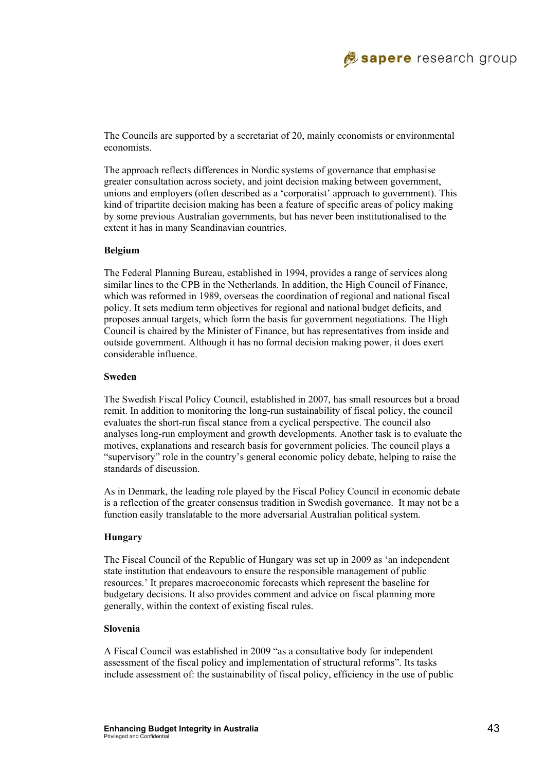

The Councils are supported by a secretariat of 20, mainly economists or environmental economists.

The approach reflects differences in Nordic systems of governance that emphasise greater consultation across society, and joint decision making between government, unions and employers (often described as a 'corporatist' approach to government). This kind of tripartite decision making has been a feature of specific areas of policy making by some previous Australian governments, but has never been institutionalised to the extent it has in many Scandinavian countries.

#### **Belgium**

The Federal Planning Bureau, established in 1994, provides a range of services along similar lines to the CPB in the Netherlands. In addition, the High Council of Finance, which was reformed in 1989, overseas the coordination of regional and national fiscal policy. It sets medium term objectives for regional and national budget deficits, and proposes annual targets, which form the basis for government negotiations. The High Council is chaired by the Minister of Finance, but has representatives from inside and outside government. Although it has no formal decision making power, it does exert considerable influence.

#### **Sweden**

The Swedish Fiscal Policy Council, established in 2007, has small resources but a broad remit. In addition to monitoring the long-run sustainability of fiscal policy, the council evaluates the short-run fiscal stance from a cyclical perspective. The council also analyses long-run employment and growth developments. Another task is to evaluate the motives, explanations and research basis for government policies. The council plays a "supervisory" role in the country's general economic policy debate, helping to raise the standards of discussion.

As in Denmark, the leading role played by the Fiscal Policy Council in economic debate is a reflection of the greater consensus tradition in Swedish governance. It may not be a function easily translatable to the more adversarial Australian political system.

#### **Hungary**

The Fiscal Council of the Republic of Hungary was set up in 2009 as 'an independent state institution that endeavours to ensure the responsible management of public resources.' It prepares macroeconomic forecasts which represent the baseline for budgetary decisions. It also provides comment and advice on fiscal planning more generally, within the context of existing fiscal rules.

#### **Slovenia**

A Fiscal Council was established in 2009 "as a consultative body for independent assessment of the fiscal policy and implementation of structural reforms". Its tasks include assessment of: the sustainability of fiscal policy, efficiency in the use of public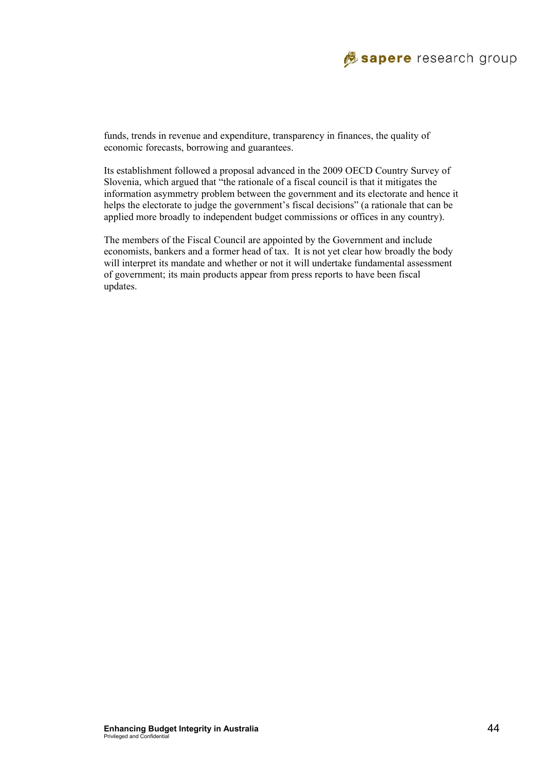

funds, trends in revenue and expenditure, transparency in finances, the quality of economic forecasts, borrowing and guarantees.

Its establishment followed a proposal advanced in the 2009 OECD Country Survey of Slovenia, which argued that "the rationale of a fiscal council is that it mitigates the information asymmetry problem between the government and its electorate and hence it helps the electorate to judge the government's fiscal decisions" (a rationale that can be applied more broadly to independent budget commissions or offices in any country).

The members of the Fiscal Council are appointed by the Government and include economists, bankers and a former head of tax. It is not yet clear how broadly the body will interpret its mandate and whether or not it will undertake fundamental assessment of government; its main products appear from press reports to have been fiscal updates.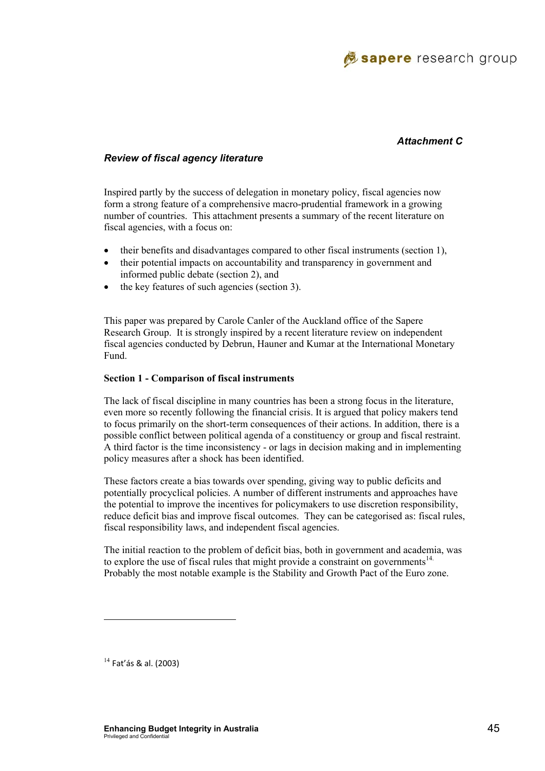

#### *Attachment C*

#### *Review of fiscal agency literature*

Inspired partly by the success of delegation in monetary policy, fiscal agencies now form a strong feature of a comprehensive macro-prudential framework in a growing number of countries. This attachment presents a summary of the recent literature on fiscal agencies, with a focus on:

- their benefits and disadvantages compared to other fiscal instruments (section 1),
- their potential impacts on accountability and transparency in government and informed public debate (section 2), and
- the key features of such agencies (section 3).

This paper was prepared by Carole Canler of the Auckland office of the Sapere Research Group. It is strongly inspired by a recent literature review on independent fiscal agencies conducted by Debrun, Hauner and Kumar at the International Monetary Fund.

#### **Section 1 - Comparison of fiscal instruments**

The lack of fiscal discipline in many countries has been a strong focus in the literature, even more so recently following the financial crisis. It is argued that policy makers tend to focus primarily on the short-term consequences of their actions. In addition, there is a possible conflict between political agenda of a constituency or group and fiscal restraint. A third factor is the time inconsistency - or lags in decision making and in implementing policy measures after a shock has been identified.

These factors create a bias towards over spending, giving way to public deficits and potentially procyclical policies. A number of different instruments and approaches have the potential to improve the incentives for policymakers to use discretion responsibility, reduce deficit bias and improve fiscal outcomes. They can be categorised as: fiscal rules, fiscal responsibility laws, and independent fiscal agencies.

The initial reaction to the problem of deficit bias, both in government and academia, was to explore the use of fiscal rules that might provide a constraint on governments<sup>14.</sup> Probably the most notable example is the Stability and Growth Pact of the Euro zone.

 $14$  Fat'ás & al. (2003)

l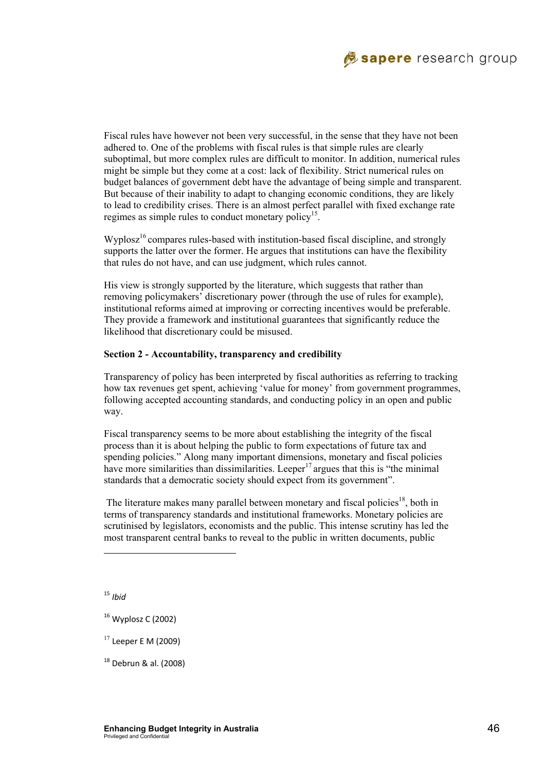

Fiscal rules have however not been very successful, in the sense that they have not been adhered to. One of the problems with fiscal rules is that simple rules are clearly suboptimal, but more complex rules are difficult to monitor. In addition, numerical rules might be simple but they come at a cost: lack of flexibility. Strict numerical rules on budget balances of government debt have the advantage of being simple and transparent. But because of their inability to adapt to changing economic conditions, they are likely to lead to credibility crises. There is an almost perfect parallel with fixed exchange rate regimes as simple rules to conduct monetary policy<sup>15</sup>.

 $Wv p l_0$  compares rules-based with institution-based fiscal discipline, and strongly supports the latter over the former. He argues that institutions can have the flexibility that rules do not have, and can use judgment, which rules cannot.

His view is strongly supported by the literature, which suggests that rather than removing policymakers' discretionary power (through the use of rules for example), institutional reforms aimed at improving or correcting incentives would be preferable. They provide a framework and institutional guarantees that significantly reduce the likelihood that discretionary could be misused.

#### **Section 2 - Accountability, transparency and credibility**

Transparency of policy has been interpreted by fiscal authorities as referring to tracking how tax revenues get spent, achieving 'value for money' from government programmes, following accepted accounting standards, and conducting policy in an open and public way.

Fiscal transparency seems to be more about establishing the integrity of the fiscal process than it is about helping the public to form expectations of future tax and spending policies." Along many important dimensions, monetary and fiscal policies have more similarities than dissimilarities. Leeper<sup>17</sup> argues that this is "the minimal" standards that a democratic society should expect from its government".

The literature makes many parallel between monetary and fiscal policies<sup>18</sup>, both in terms of transparency standards and institutional frameworks. Monetary policies are scrutinised by legislators, economists and the public. This intense scrutiny has led the most transparent central banks to reveal to the public in written documents, public

<sup>15</sup> *Ibid*

 $\overline{\phantom{a}}$ 

 $17$  Leeper E M (2009)

18 Debrun & al. (2008)

<sup>16</sup> Wyplosz C (2002)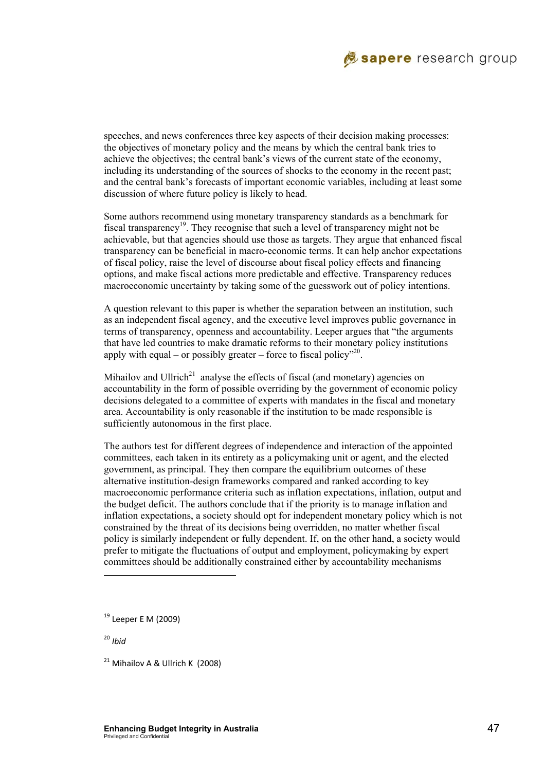

speeches, and news conferences three key aspects of their decision making processes: the objectives of monetary policy and the means by which the central bank tries to achieve the objectives; the central bank's views of the current state of the economy, including its understanding of the sources of shocks to the economy in the recent past; and the central bank's forecasts of important economic variables, including at least some discussion of where future policy is likely to head.

Some authors recommend using monetary transparency standards as a benchmark for fiscal transparency<sup>19</sup>. They recognise that such a level of transparency might not be achievable, but that agencies should use those as targets. They argue that enhanced fiscal transparency can be beneficial in macro-economic terms. It can help anchor expectations of fiscal policy, raise the level of discourse about fiscal policy effects and financing options, and make fiscal actions more predictable and effective. Transparency reduces macroeconomic uncertainty by taking some of the guesswork out of policy intentions.

A question relevant to this paper is whether the separation between an institution, such as an independent fiscal agency, and the executive level improves public governance in terms of transparency, openness and accountability. Leeper argues that "the arguments that have led countries to make dramatic reforms to their monetary policy institutions apply with equal – or possibly greater – force to fiscal policy<sup> $n20$ </sup>.

Mihailov and Ullrich<sup>21</sup> analyse the effects of fiscal (and monetary) agencies on accountability in the form of possible overriding by the government of economic policy decisions delegated to a committee of experts with mandates in the fiscal and monetary area. Accountability is only reasonable if the institution to be made responsible is sufficiently autonomous in the first place.

The authors test for different degrees of independence and interaction of the appointed committees, each taken in its entirety as a policymaking unit or agent, and the elected government, as principal. They then compare the equilibrium outcomes of these alternative institution-design frameworks compared and ranked according to key macroeconomic performance criteria such as inflation expectations, inflation, output and the budget deficit. The authors conclude that if the priority is to manage inflation and inflation expectations, a society should opt for independent monetary policy which is not constrained by the threat of its decisions being overridden, no matter whether fiscal policy is similarly independent or fully dependent. If, on the other hand, a society would prefer to mitigate the fluctuations of output and employment, policymaking by expert committees should be additionally constrained either by accountability mechanisms

<sup>20</sup> *Ibid*

l

<sup>19</sup> Leeper E M (2009)

 $21$  Mihailov A & Ullrich K (2008)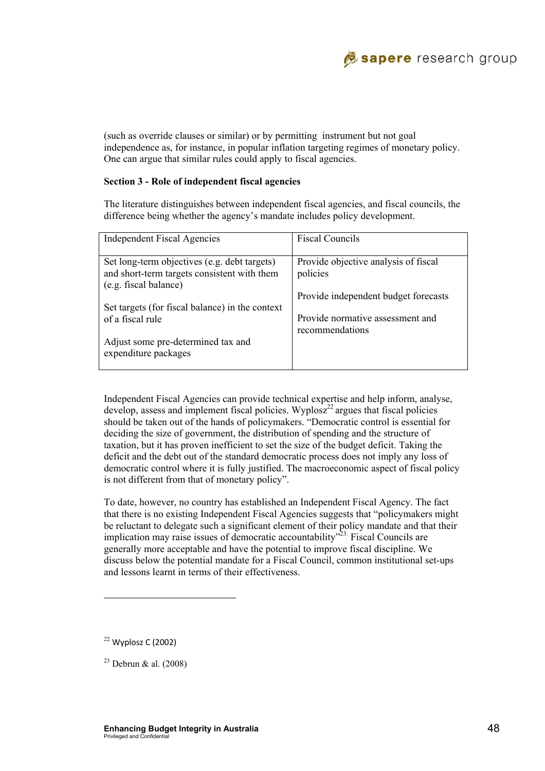(such as override clauses or similar) or by permitting instrument but not goal independence as, for instance, in popular inflation targeting regimes of monetary policy. One can argue that similar rules could apply to fiscal agencies.

#### **Section 3 - Role of independent fiscal agencies**

The literature distinguishes between independent fiscal agencies, and fiscal councils, the difference being whether the agency's mandate includes policy development.

| <b>Independent Fiscal Agencies</b>              | <b>Fiscal Councils</b>               |
|-------------------------------------------------|--------------------------------------|
|                                                 |                                      |
| Set long-term objectives (e.g. debt targets)    | Provide objective analysis of fiscal |
| and short-term targets consistent with them     | policies                             |
| (e.g. fiscal balance)                           |                                      |
|                                                 | Provide independent budget forecasts |
| Set targets (for fiscal balance) in the context |                                      |
| of a fiscal rule                                | Provide normative assessment and     |
|                                                 | recommendations                      |
| Adjust some pre-determined tax and              |                                      |
| expenditure packages                            |                                      |
|                                                 |                                      |

Independent Fiscal Agencies can provide technical expertise and help inform, analyse, develop, assess and implement fiscal policies. Wyplosz<sup>22</sup> argues that fiscal policies should be taken out of the hands of policymakers. "Democratic control is essential for deciding the size of government, the distribution of spending and the structure of taxation, but it has proven inefficient to set the size of the budget deficit. Taking the deficit and the debt out of the standard democratic process does not imply any loss of democratic control where it is fully justified. The macroeconomic aspect of fiscal policy is not different from that of monetary policy".

To date, however, no country has established an Independent Fiscal Agency. The fact that there is no existing Independent Fiscal Agencies suggests that "policymakers might be reluctant to delegate such a significant element of their policy mandate and that their implication may raise issues of democratic accountability<sup> $23$ </sup>. Fiscal Councils are generally more acceptable and have the potential to improve fiscal discipline. We discuss below the potential mandate for a Fiscal Council, common institutional set-ups and lessons learnt in terms of their effectiveness.

<sup>22</sup> Wyplosz C (2002)

 $\overline{\phantom{a}}$ 

 $^{23}$  Debrun & al. (2008)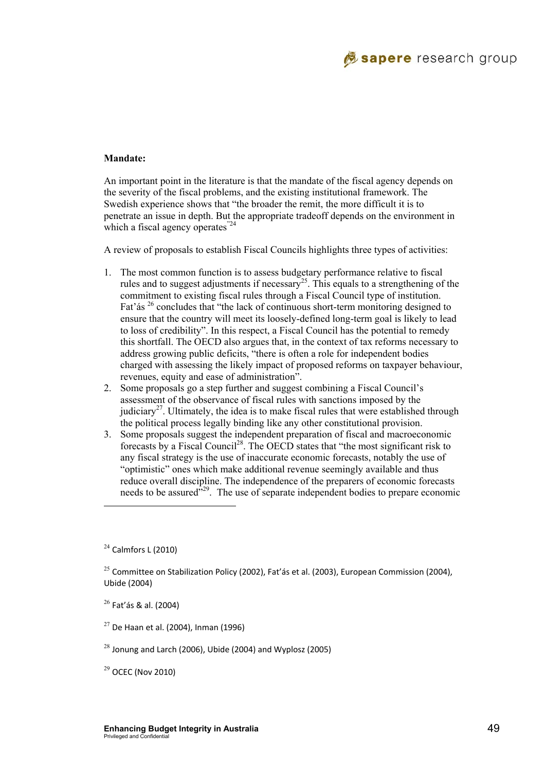

#### **Mandate:**

An important point in the literature is that the mandate of the fiscal agency depends on the severity of the fiscal problems, and the existing institutional framework. The Swedish experience shows that "the broader the remit, the more difficult it is to penetrate an issue in depth. But the appropriate tradeoff depends on the environment in which a fiscal agency operates<sup>"24</sup>

A review of proposals to establish Fiscal Councils highlights three types of activities:

- 1. The most common function is to assess budgetary performance relative to fiscal rules and to suggest adjustments if necessary<sup>25</sup>. This equals to a strengthening of the commitment to existing fiscal rules through a Fiscal Council type of institution. Fat' as <sup>26</sup> concludes that "the lack of continuous short-term monitoring designed to ensure that the country will meet its loosely-defined long-term goal is likely to lead to loss of credibility". In this respect, a Fiscal Council has the potential to remedy this shortfall. The OECD also argues that, in the context of tax reforms necessary to address growing public deficits, "there is often a role for independent bodies charged with assessing the likely impact of proposed reforms on taxpayer behaviour, revenues, equity and ease of administration".
- 2. Some proposals go a step further and suggest combining a Fiscal Council's assessment of the observance of fiscal rules with sanctions imposed by the judiciary<sup>27</sup>. Ultimately, the idea is to make fiscal rules that were established through the political process legally binding like any other constitutional provision.
- 3. Some proposals suggest the independent preparation of fiscal and macroeconomic forecasts by a Fiscal Council<sup>28</sup>. The OECD states that "the most significant risk to any fiscal strategy is the use of inaccurate economic forecasts, notably the use of "optimistic" ones which make additional revenue seemingly available and thus reduce overall discipline. The independence of the preparers of economic forecasts needs to be assured<sup>329</sup>. The use of separate independent bodies to prepare economic

 $24$  Calmfors L (2010)

l

 $26$  Fat'ás & al. (2004)

 $29$  OCEC (Nov 2010)

<sup>&</sup>lt;sup>25</sup> Committee on Stabilization Policy (2002), Fat'ás et al. (2003), European Commission (2004), Ubide (2004)

 $27$  De Haan et al. (2004), Inman (1996)

 $28$  Jonung and Larch (2006), Ubide (2004) and Wyplosz (2005)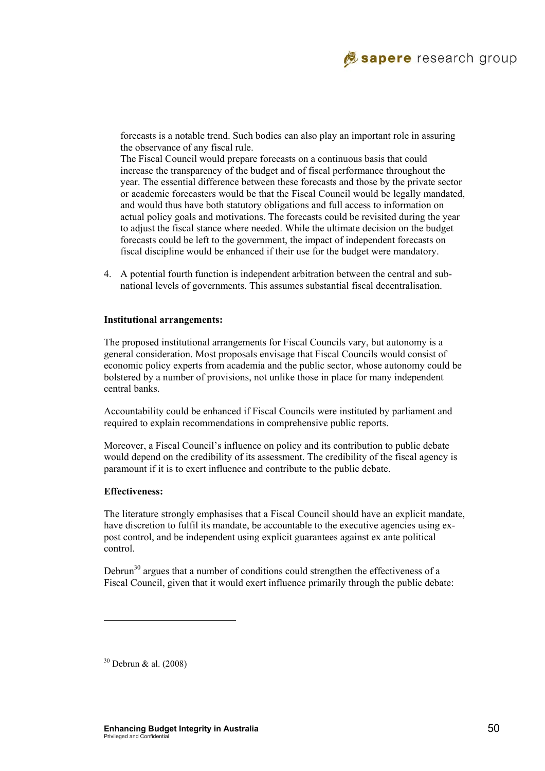

forecasts is a notable trend. Such bodies can also play an important role in assuring the observance of any fiscal rule.

The Fiscal Council would prepare forecasts on a continuous basis that could increase the transparency of the budget and of fiscal performance throughout the year. The essential difference between these forecasts and those by the private sector or academic forecasters would be that the Fiscal Council would be legally mandated, and would thus have both statutory obligations and full access to information on actual policy goals and motivations. The forecasts could be revisited during the year to adjust the fiscal stance where needed. While the ultimate decision on the budget forecasts could be left to the government, the impact of independent forecasts on fiscal discipline would be enhanced if their use for the budget were mandatory.

4. A potential fourth function is independent arbitration between the central and subnational levels of governments. This assumes substantial fiscal decentralisation.

#### **Institutional arrangements:**

The proposed institutional arrangements for Fiscal Councils vary, but autonomy is a general consideration. Most proposals envisage that Fiscal Councils would consist of economic policy experts from academia and the public sector, whose autonomy could be bolstered by a number of provisions, not unlike those in place for many independent central banks.

Accountability could be enhanced if Fiscal Councils were instituted by parliament and required to explain recommendations in comprehensive public reports.

Moreover, a Fiscal Council's influence on policy and its contribution to public debate would depend on the credibility of its assessment. The credibility of the fiscal agency is paramount if it is to exert influence and contribute to the public debate.

#### **Effectiveness:**

The literature strongly emphasises that a Fiscal Council should have an explicit mandate, have discretion to fulfil its mandate, be accountable to the executive agencies using expost control, and be independent using explicit guarantees against ex ante political control.

Debrun<sup>30</sup> argues that a number of conditions could strengthen the effectiveness of a Fiscal Council, given that it would exert influence primarily through the public debate:

30 Debrun & al. (2008)

l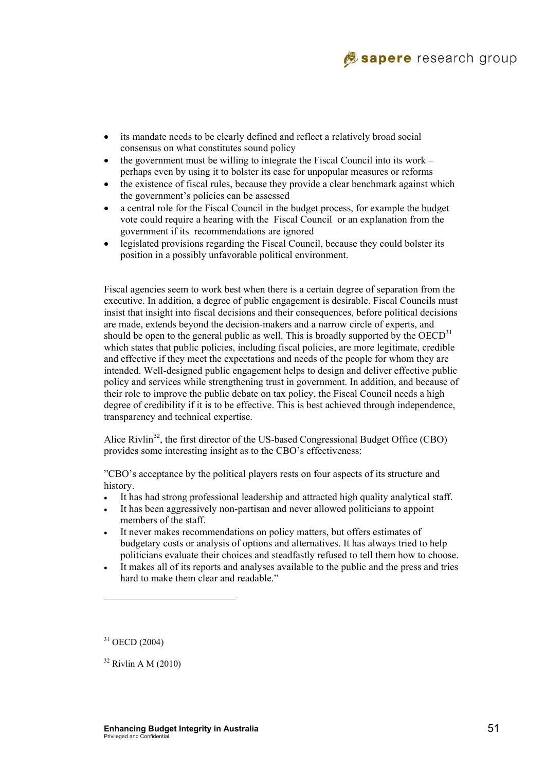

- its mandate needs to be clearly defined and reflect a relatively broad social consensus on what constitutes sound policy
- the government must be willing to integrate the Fiscal Council into its work  $$ perhaps even by using it to bolster its case for unpopular measures or reforms
- the existence of fiscal rules, because they provide a clear benchmark against which the government's policies can be assessed
- a central role for the Fiscal Council in the budget process, for example the budget vote could require a hearing with the Fiscal Council or an explanation from the government if its recommendations are ignored
- legislated provisions regarding the Fiscal Council, because they could bolster its position in a possibly unfavorable political environment.

Fiscal agencies seem to work best when there is a certain degree of separation from the executive. In addition, a degree of public engagement is desirable. Fiscal Councils must insist that insight into fiscal decisions and their consequences, before political decisions are made, extends beyond the decision-makers and a narrow circle of experts, and should be open to the general public as well. This is broadly supported by the  $OECD<sup>31</sup>$ which states that public policies, including fiscal policies, are more legitimate, credible and effective if they meet the expectations and needs of the people for whom they are intended. Well-designed public engagement helps to design and deliver effective public policy and services while strengthening trust in government. In addition, and because of their role to improve the public debate on tax policy, the Fiscal Council needs a high degree of credibility if it is to be effective. This is best achieved through independence, transparency and technical expertise.

Alice Rivlin<sup>32</sup>, the first director of the US-based Congressional Budget Office (CBO) provides some interesting insight as to the CBO's effectiveness:

"CBO's acceptance by the political players rests on four aspects of its structure and history.

- It has had strong professional leadership and attracted high quality analytical staff.
- It has been aggressively non-partisan and never allowed politicians to appoint members of the staff.
- It never makes recommendations on policy matters, but offers estimates of budgetary costs or analysis of options and alternatives. It has always tried to help politicians evaluate their choices and steadfastly refused to tell them how to choose.
- It makes all of its reports and analyses available to the public and the press and tries hard to make them clear and readable."

 $\overline{\phantom{a}}$ 

 $31$  OECD (2004)

 $32$  Rivlin A M (2010)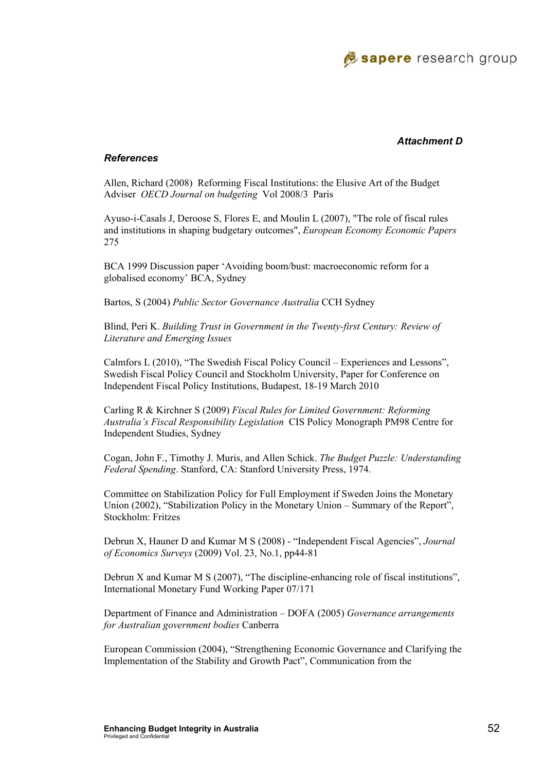

#### *Attachment D*

#### *References*

Allen, Richard (2008) Reforming Fiscal Institutions: the Elusive Art of the Budget Adviser *OECD Journal on budgeting* Vol 2008/3 Paris

Ayuso-i-Casals J, Deroose S, Flores E, and Moulin L (2007), "The role of fiscal rules and institutions in shaping budgetary outcomes", *European Economy Economic Papers* 275

BCA 1999 Discussion paper 'Avoiding boom/bust: macroeconomic reform for a globalised economy' BCA, Sydney

Bartos, S (2004) *Public Sector Governance Australia* CCH Sydney

Blind, Peri K. *Building Trust in Government in the Twenty-first Century: Review of Literature and Emerging Issues*

Calmfors L (2010), "The Swedish Fiscal Policy Council – Experiences and Lessons", Swedish Fiscal Policy Council and Stockholm University, Paper for Conference on Independent Fiscal Policy Institutions, Budapest, 18-19 March 2010

Carling R & Kirchner S (2009) *Fiscal Rules for Limited Government: Reforming Australia's Fiscal Responsibility Legislation* CIS Policy Monograph PM98 Centre for Independent Studies, Sydney

Cogan, John F., Timothy J. Muris, and Allen Schick. *The Budget Puzzle: Understanding Federal Spending*. Stanford, CA: Stanford University Press, 1974.

Committee on Stabilization Policy for Full Employment if Sweden Joins the Monetary Union (2002), "Stabilization Policy in the Monetary Union – Summary of the Report", Stockholm: Fritzes

Debrun X, Hauner D and Kumar M S (2008) - "Independent Fiscal Agencies", *Journal of Economics Surveys* (2009) Vol. 23, No.1, pp44-81

Debrun X and Kumar M S (2007), "The discipline-enhancing role of fiscal institutions", International Monetary Fund Working Paper 07/171

Department of Finance and Administration – DOFA (2005) *Governance arrangements for Australian government bodies* Canberra

European Commission (2004), "Strengthening Economic Governance and Clarifying the Implementation of the Stability and Growth Pact", Communication from the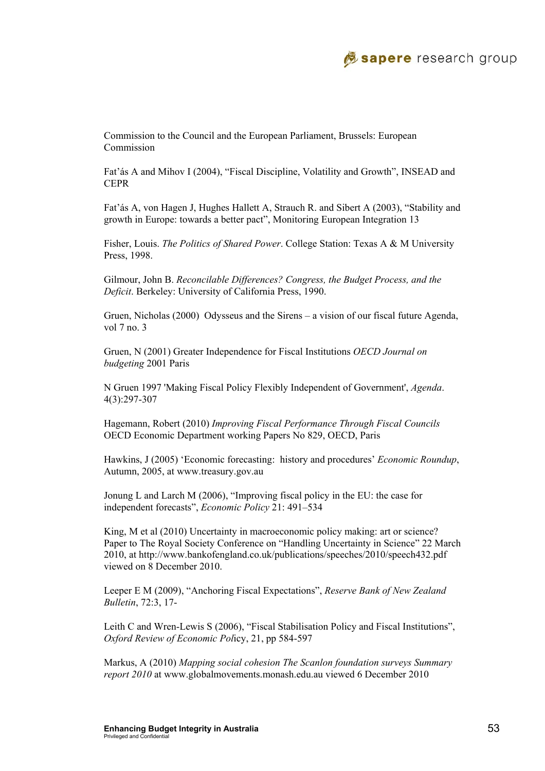

Commission to the Council and the European Parliament, Brussels: European Commission

Fat'ás A and Mihov I (2004), "Fiscal Discipline, Volatility and Growth", INSEAD and CEPR

Fat'ás A, von Hagen J, Hughes Hallett A, Strauch R. and Sibert A (2003), "Stability and growth in Europe: towards a better pact", Monitoring European Integration 13

Fisher, Louis. *The Politics of Shared Power*. College Station: Texas A & M University Press, 1998.

Gilmour, John B. *Reconcilable Differences? Congress, the Budget Process, and the Deficit*. Berkeley: University of California Press, 1990.

Gruen, Nicholas (2000) Odysseus and the Sirens – a vision of our fiscal future Agenda, vol 7 no. 3

Gruen, N (2001) Greater Independence for Fiscal Institutions *OECD Journal on budgeting* 2001 Paris

N Gruen 1997 'Making Fiscal Policy Flexibly Independent of Government', *Agenda*. 4(3):297-307

Hagemann, Robert (2010) *Improving Fiscal Performance Through Fiscal Councils* OECD Economic Department working Papers No 829, OECD, Paris

Hawkins, J (2005) 'Economic forecasting: history and procedures' *Economic Roundup*, Autumn, 2005, at www.treasury.gov.au

Jonung L and Larch M (2006), "Improving fiscal policy in the EU: the case for independent forecasts", *Economic Policy* 21: 491–534

King, M et al (2010) Uncertainty in macroeconomic policy making: art or science? Paper to The Royal Society Conference on "Handling Uncertainty in Science" 22 March 2010, at http://www.bankofengland.co.uk/publications/speeches/2010/speech432.pdf viewed on 8 December 2010.

Leeper E M (2009), "Anchoring Fiscal Expectations", *Reserve Bank of New Zealand Bulletin*, 72:3, 17-

Leith C and Wren-Lewis S (2006), "Fiscal Stabilisation Policy and Fiscal Institutions", *Oxford Review of Economic Pol*icy, 21, pp 584-597

Markus, A (2010) *Mapping social cohesion The Scanlon foundation surveys Summary report 2010* at www.globalmovements.monash.edu.au viewed 6 December 2010